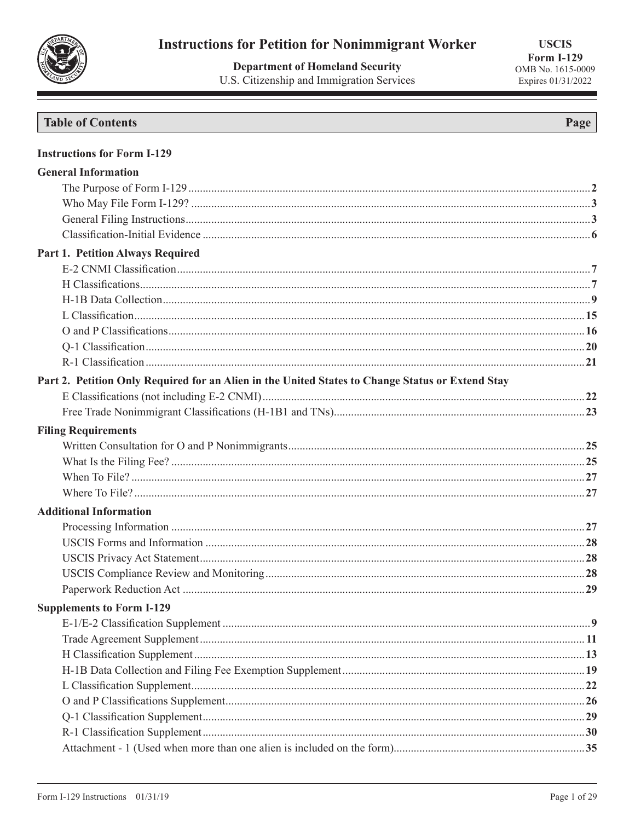

**Department of Homeland Security** U.S. Citizenship and Immigration Services

**USCIS Form I-129** OMB No. 1615-0009 Expires 01/31/2022

# **Table of Contents**

| <b>Instructions for Form I-129</b>                                                               |  |
|--------------------------------------------------------------------------------------------------|--|
| <b>General Information</b>                                                                       |  |
|                                                                                                  |  |
|                                                                                                  |  |
|                                                                                                  |  |
|                                                                                                  |  |
| Part 1. Petition Always Required                                                                 |  |
|                                                                                                  |  |
|                                                                                                  |  |
|                                                                                                  |  |
|                                                                                                  |  |
|                                                                                                  |  |
|                                                                                                  |  |
|                                                                                                  |  |
| Part 2. Petition Only Required for an Alien in the United States to Change Status or Extend Stay |  |
|                                                                                                  |  |
|                                                                                                  |  |
| <b>Filing Requirements</b>                                                                       |  |
|                                                                                                  |  |
|                                                                                                  |  |
|                                                                                                  |  |
|                                                                                                  |  |
| <b>Additional Information</b>                                                                    |  |
|                                                                                                  |  |
|                                                                                                  |  |
|                                                                                                  |  |
|                                                                                                  |  |
|                                                                                                  |  |
| <b>Supplements to Form I-129</b>                                                                 |  |
|                                                                                                  |  |
|                                                                                                  |  |
|                                                                                                  |  |
|                                                                                                  |  |
|                                                                                                  |  |
|                                                                                                  |  |
|                                                                                                  |  |
|                                                                                                  |  |
|                                                                                                  |  |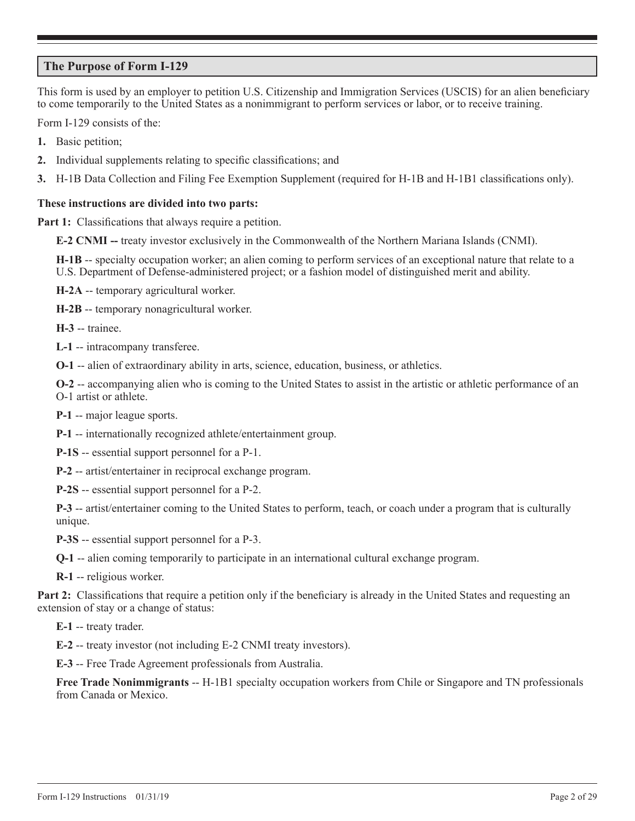# **The Purpose of Form I-129**

This form is used by an employer to petition U.S. Citizenship and Immigration Services (USCIS) for an alien beneficiary to come temporarily to the United States as a nonimmigrant to perform services or labor, or to receive training.

Form I-129 consists of the:

- **1.** Basic petition;
- **2.** Individual supplements relating to specific classifications; and
- **3.** H-1B Data Collection and Filing Fee Exemption Supplement (required for H-1B and H-1B1 classifications only).

## **These instructions are divided into two parts:**

**Part 1:** Classifications that always require a petition.

**E-2 CNMI --** treaty investor exclusively in the Commonwealth of the Northern Mariana Islands (CNMI).

**H-1B** -- specialty occupation worker; an alien coming to perform services of an exceptional nature that relate to a U.S. Department of Defense-administered project; or a fashion model of distinguished merit and ability.

**H-2A** -- temporary agricultural worker.

**H-2B** -- temporary nonagricultural worker.

**H-3** -- trainee.

**L-1** -- intracompany transferee.

**O-1** -- alien of extraordinary ability in arts, science, education, business, or athletics.

**O-2** -- accompanying alien who is coming to the United States to assist in the artistic or athletic performance of an O-1 artist or athlete.

**P-1** -- major league sports.

**P-1** -- internationally recognized athlete/entertainment group.

**P-1S** -- essential support personnel for a P-1.

**P-2** -- artist/entertainer in reciprocal exchange program.

**P-2S** -- essential support personnel for a P-2.

**P-3** -- artist/entertainer coming to the United States to perform, teach, or coach under a program that is culturally unique.

**P-3S** -- essential support personnel for a P-3.

**Q-1** -- alien coming temporarily to participate in an international cultural exchange program.

**R-1** -- religious worker.

**Part 2:** Classifications that require a petition only if the beneficiary is already in the United States and requesting an extension of stay or a change of status:

**E-1** -- treaty trader.

**E-2** -- treaty investor (not including E-2 CNMI treaty investors).

**E-3** -- Free Trade Agreement professionals from Australia.

**Free Trade Nonimmigrants** -- H-1B1 specialty occupation workers from Chile or Singapore and TN professionals from Canada or Mexico.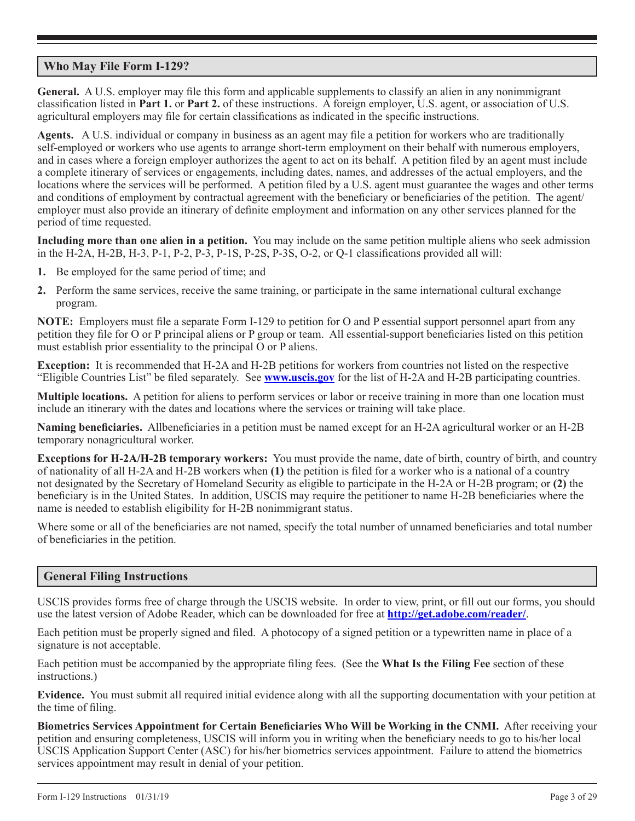# **Who May File Form I-129?**

**General.** A U.S. employer may file this form and applicable supplements to classify an alien in any nonimmigrant classification listed in **Part 1.** or **Part 2.** of these instructions. A foreign employer, U.S. agent, or association of U.S. agricultural employers may file for certain classifications as indicated in the specific instructions.

**Agents.** A U.S. individual or company in business as an agent may file a petition for workers who are traditionally self-employed or workers who use agents to arrange short-term employment on their behalf with numerous employers, and in cases where a foreign employer authorizes the agent to act on its behalf. A petition filed by an agent must include a complete itinerary of services or engagements, including dates, names, and addresses of the actual employers, and the locations where the services will be performed. A petition filed by a U.S. agent must guarantee the wages and other terms and conditions of employment by contractual agreement with the beneficiary or beneficiaries of the petition. The agent/ employer must also provide an itinerary of definite employment and information on any other services planned for the period of time requested.

**Including more than one alien in a petition.** You may include on the same petition multiple aliens who seek admission in the H-2A, H-2B, H-3, P-1, P-2, P-3, P-1S, P-2S, P-3S, O-2, or Q-1 classifications provided all will:

- **1.** Be employed for the same period of time; and
- **2.** Perform the same services, receive the same training, or participate in the same international cultural exchange program.

**NOTE:** Employers must file a separate Form I-129 to petition for O and P essential support personnel apart from any petition they file for O or P principal aliens or P group or team. All essential-support beneficiaries listed on this petition must establish prior essentiality to the principal O or P aliens.

**Exception:** It is recommended that H-2A and H-2B petitions for workers from countries not listed on the respective "Eligible Countries List" be filed separately. See **www.uscis.gov** for the list of H-2A and H-2B participating countries.

**Multiple locations.** A petition for aliens to perform services or labor or receive training in more than one location must include an itinerary with the dates and locations where the services or training will take place.

**Naming beneficiaries.** Allbeneficiaries in a petition must be named except for an H-2A agricultural worker or an H-2B temporary nonagricultural worker.

**Exceptions for H-2A/H-2B temporary workers:** You must provide the name, date of birth, country of birth, and country of nationality of all H-2A and H-2B workers when **(1)** the petition is filed for a worker who is a national of a country not designated by the Secretary of Homeland Security as eligible to participate in the H-2A or H-2B program; or **(2)** the beneficiary is in the United States. In addition, USCIS may require the petitioner to name H-2B beneficiaries where the name is needed to establish eligibility for H-2B nonimmigrant status.

Where some or all of the beneficiaries are not named, specify the total number of unnamed beneficiaries and total number of beneficiaries in the petition.

# **General Filing Instructions**

USCIS provides forms free of charge through the USCIS website. In order to view, print, or fill out our forms, you should use the latest version of Adobe Reader, which can be downloaded for free at **http://get.adobe.com/reader/**.

Each petition must be properly signed and filed. A photocopy of a signed petition or a typewritten name in place of a signature is not acceptable.

Each petition must be accompanied by the appropriate filing fees. (See the **What Is the Filing Fee** section of these instructions.)

**Evidence.** You must submit all required initial evidence along with all the supporting documentation with your petition at the time of filing.

**Biometrics Services Appointment for Certain Beneficiaries Who Will be Working in the CNMI.** After receiving your petition and ensuring completeness, USCIS will inform you in writing when the beneficiary needs to go to his/her local USCIS Application Support Center (ASC) for his/her biometrics services appointment. Failure to attend the biometrics services appointment may result in denial of your petition.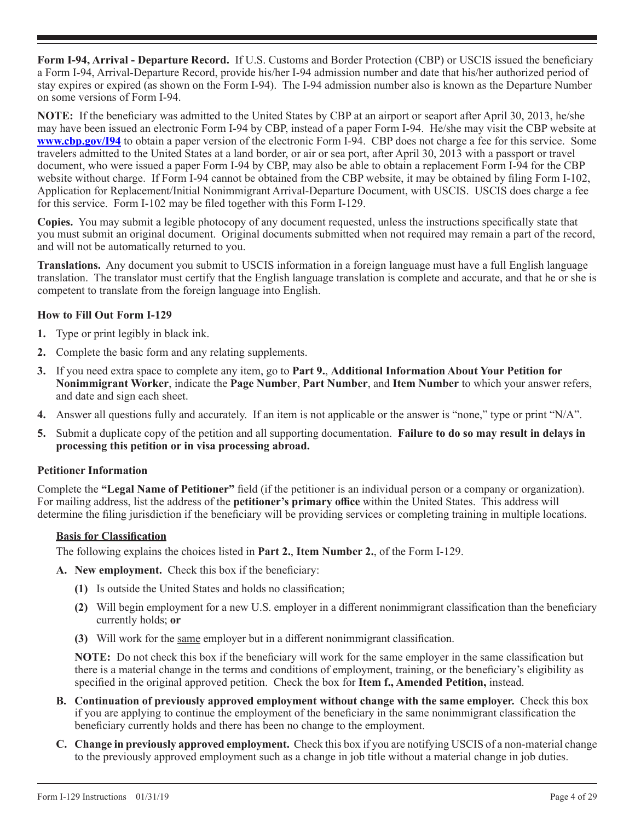**Form I-94, Arrival - Departure Record.** If U.S. Customs and Border Protection (CBP) or USCIS issued the beneficiary a Form I-94, Arrival-Departure Record, provide his/her I-94 admission number and date that his/her authorized period of stay expires or expired (as shown on the Form I-94). The I-94 admission number also is known as the Departure Number on some versions of Form I-94.

**NOTE:** If the beneficiary was admitted to the United States by CBP at an airport or seaport after April 30, 2013, he/she may have been issued an electronic Form I-94 by CBP, instead of a paper Form I-94. He/she may visit the CBP website at **www.cbp.gov/I94** to obtain a paper version of the electronic Form I-94. CBP does not charge a fee for this service. Some travelers admitted to the United States at a land border, or air or sea port, after April 30, 2013 with a passport or travel document, who were issued a paper Form I-94 by CBP, may also be able to obtain a replacement Form I-94 for the CBP website without charge. If Form I-94 cannot be obtained from the CBP website, it may be obtained by filing Form I-102, Application for Replacement/Initial Nonimmigrant Arrival-Departure Document, with USCIS. USCIS does charge a fee for this service. Form I-102 may be filed together with this Form I-129.

**Copies.** You may submit a legible photocopy of any document requested, unless the instructions specifically state that you must submit an original document. Original documents submitted when not required may remain a part of the record, and will not be automatically returned to you.

**Translations.** Any document you submit to USCIS information in a foreign language must have a full English language translation. The translator must certify that the English language translation is complete and accurate, and that he or she is competent to translate from the foreign language into English.

## **How to Fill Out Form I-129**

- **1.** Type or print legibly in black ink.
- **2.** Complete the basic form and any relating supplements.
- **3.** If you need extra space to complete any item, go to **Part 9.**, **Additional Information About Your Petition for Nonimmigrant Worker**, indicate the **Page Number**, **Part Number**, and **Item Number** to which your answer refers, and date and sign each sheet.
- **4.** Answer all questions fully and accurately. If an item is not applicable or the answer is "none," type or print "N/A".
- **5.** Submit a duplicate copy of the petition and all supporting documentation. **Failure to do so may result in delays in processing this petition or in visa processing abroad.**

## **Petitioner Information**

Complete the **"Legal Name of Petitioner"** field (if the petitioner is an individual person or a company or organization). For mailing address, list the address of the **petitioner's primary office** within the United States. This address will determine the filing jurisdiction if the beneficiary will be providing services or completing training in multiple locations.

## **Basis for Classification**

The following explains the choices listed in **Part 2.**, **Item Number 2.**, of the Form I-129.

- **A. New employment.** Check this box if the beneficiary:
	- **(1)** Is outside the United States and holds no classification;
	- **(2)** Will begin employment for a new U.S. employer in a different nonimmigrant classification than the beneficiary currently holds; **or**
	- **(3)** Will work for the same employer but in a different nonimmigrant classification.

**NOTE:** Do not check this box if the beneficiary will work for the same employer in the same classification but there is a material change in the terms and conditions of employment, training, or the beneficiary's eligibility as specified in the original approved petition. Check the box for **Item f., Amended Petition,** instead.

- **B. Continuation of previously approved employment without change with the same employer.** Check this box if you are applying to continue the employment of the beneficiary in the same nonimmigrant classification the beneficiary currently holds and there has been no change to the employment.
- **C. Change in previously approved employment.** Check this box if you are notifying USCIS of a non-material change to the previously approved employment such as a change in job title without a material change in job duties.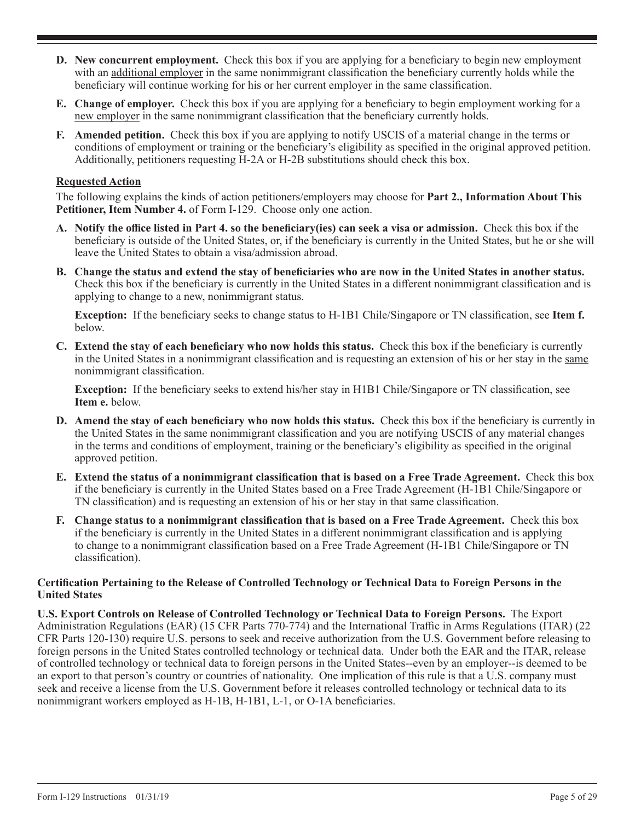- **D. New concurrent employment.** Check this box if you are applying for a beneficiary to begin new employment with an additional employer in the same nonimmigrant classification the beneficiary currently holds while the beneficiary will continue working for his or her current employer in the same classification.
- **E. Change of employer.** Check this box if you are applying for a beneficiary to begin employment working for a new employer in the same nonimmigrant classification that the beneficiary currently holds.
- **F. Amended petition.** Check this box if you are applying to notify USCIS of a material change in the terms or conditions of employment or training or the beneficiary's eligibility as specified in the original approved petition. Additionally, petitioners requesting H-2A or H-2B substitutions should check this box.

#### **Requested Action**

The following explains the kinds of action petitioners/employers may choose for **Part 2., Information About This Petitioner, Item Number 4.** of Form I-129. Choose only one action.

- **A. Notify the office listed in Part 4. so the beneficiary(ies) can seek a visa or admission.** Check this box if the beneficiary is outside of the United States, or, if the beneficiary is currently in the United States, but he or she will leave the United States to obtain a visa/admission abroad.
- **B. Change the status and extend the stay of beneficiaries who are now in the United States in another status.** Check this box if the beneficiary is currently in the United States in a different nonimmigrant classification and is applying to change to a new, nonimmigrant status.

**Exception:** If the beneficiary seeks to change status to H-1B1 Chile/Singapore or TN classification, see **Item f.** below.

**C. Extend the stay of each beneficiary who now holds this status.** Check this box if the beneficiary is currently in the United States in a nonimmigrant classification and is requesting an extension of his or her stay in the same nonimmigrant classification.

**Exception:** If the beneficiary seeks to extend his/her stay in H1B1 Chile/Singapore or TN classification, see **Item e.** below.

- **D. Amend the stay of each beneficiary who now holds this status.** Check this box if the beneficiary is currently in the United States in the same nonimmigrant classification and you are notifying USCIS of any material changes in the terms and conditions of employment, training or the beneficiary's eligibility as specified in the original approved petition.
- **E. Extend the status of a nonimmigrant classification that is based on a Free Trade Agreement.** Check this box if the beneficiary is currently in the United States based on a Free Trade Agreement (H-1B1 Chile/Singapore or TN classification) and is requesting an extension of his or her stay in that same classification.
- **F. Change status to a nonimmigrant classification that is based on a Free Trade Agreement.** Check this box if the beneficiary is currently in the United States in a different nonimmigrant classification and is applying to change to a nonimmigrant classification based on a Free Trade Agreement (H-1B1 Chile/Singapore or TN classification).

## **Certification Pertaining to the Release of Controlled Technology or Technical Data to Foreign Persons in the United States**

**U.S. Export Controls on Release of Controlled Technology or Technical Data to Foreign Persons.** The Export Administration Regulations (EAR) (15 CFR Parts 770-774) and the International Traffic in Arms Regulations (ITAR) (22 CFR Parts 120-130) require U.S. persons to seek and receive authorization from the U.S. Government before releasing to foreign persons in the United States controlled technology or technical data. Under both the EAR and the ITAR, release of controlled technology or technical data to foreign persons in the United States--even by an employer--is deemed to be an export to that person's country or countries of nationality. One implication of this rule is that a U.S. company must seek and receive a license from the U.S. Government before it releases controlled technology or technical data to its nonimmigrant workers employed as H-1B, H-1B1, L-1, or O-1A beneficiaries.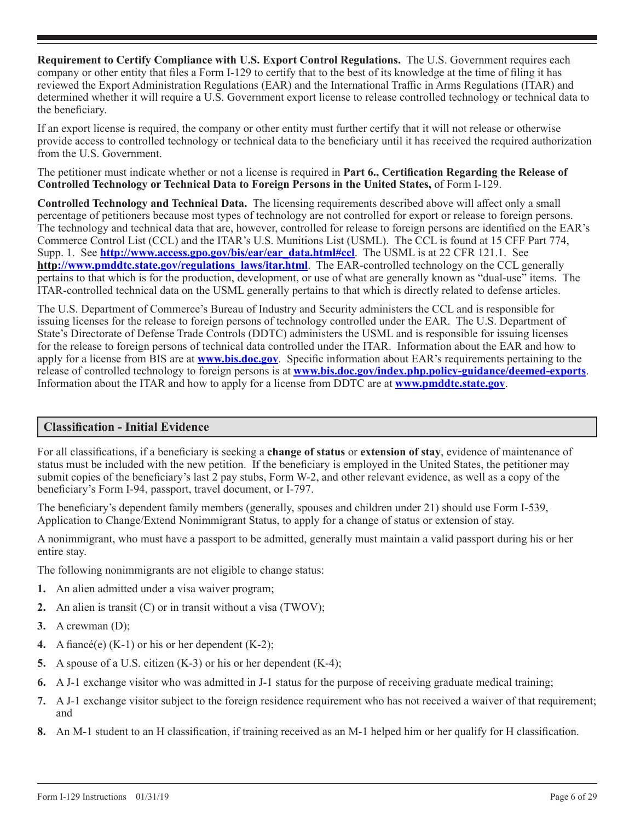**Requirement to Certify Compliance with U.S. Export Control Regulations.** The U.S. Government requires each company or other entity that files a Form I-129 to certify that to the best of its knowledge at the time of filing it has reviewed the Export Administration Regulations (EAR) and the International Traffic in Arms Regulations (ITAR) and determined whether it will require a U.S. Government export license to release controlled technology or technical data to the beneficiary.

If an export license is required, the company or other entity must further certify that it will not release or otherwise provide access to controlled technology or technical data to the beneficiary until it has received the required authorization from the U.S. Government.

The petitioner must indicate whether or not a license is required in **Part 6., Certification Regarding the Release of Controlled Technology or Technical Data to Foreign Persons in the United States,** of Form I-129.

**Controlled Technology and Technical Data.** The licensing requirements described above will affect only a small percentage of petitioners because most types of technology are not controlled for export or release to foreign persons. The technology and technical data that are, however, controlled for release to foreign persons are identified on the EAR's Commerce Control List (CCL) and the ITAR's U.S. Munitions List (USML). The CCL is found at 15 CFF Part 774, Supp. 1. See **http://www.access.gpo.gov/bis/ear/ear\_data.html#ccl**. The USML is at 22 CFR 121.1. See **http://www.pmddtc.state.gov/regulations\_laws/itar.html**. The EAR-controlled technology on the CCL generally pertains to that which is for the production, development, or use of what are generally known as "dual-use" items. The ITAR-controlled technical data on the USML generally pertains to that which is directly related to defense articles.

The U.S. Department of Commerce's Bureau of Industry and Security administers the CCL and is responsible for issuing licenses for the release to foreign persons of technology controlled under the EAR. The U.S. Department of State's Directorate of Defense Trade Controls (DDTC) administers the USML and is responsible for issuing licenses for the release to foreign persons of technical data controlled under the ITAR. Information about the EAR and how to apply for a license from BIS are at **www.bis.doc.gov**. Specific information about EAR's requirements pertaining to the release of controlled technology to foreign persons is at **www.bis.doc.gov/index.php.policy-guidance/deemed-exports**. Information about the ITAR and how to apply for a license from DDTC are at **www.pmddtc.state.gov**.

# **Classification - Initial Evidence**

For all classifications, if a beneficiary is seeking a **change of status** or **extension of stay**, evidence of maintenance of status must be included with the new petition. If the beneficiary is employed in the United States, the petitioner may submit copies of the beneficiary's last 2 pay stubs, Form W-2, and other relevant evidence, as well as a copy of the beneficiary's Form I-94, passport, travel document, or I-797.

The beneficiary's dependent family members (generally, spouses and children under 21) should use Form I-539, Application to Change/Extend Nonimmigrant Status, to apply for a change of status or extension of stay.

A nonimmigrant, who must have a passport to be admitted, generally must maintain a valid passport during his or her entire stay.

The following nonimmigrants are not eligible to change status:

- **1.** An alien admitted under a visa waiver program;
- **2.** An alien is transit (C) or in transit without a visa (TWOV);
- **3.** A crewman (D);
- **4.** A fiancé(e) (K-1) or his or her dependent (K-2);
- **5.** A spouse of a U.S. citizen (K-3) or his or her dependent (K-4);
- **6.** A J-1 exchange visitor who was admitted in J-1 status for the purpose of receiving graduate medical training;
- **7.** A J-1 exchange visitor subject to the foreign residence requirement who has not received a waiver of that requirement; and
- **8.** An M-1 student to an H classification, if training received as an M-1 helped him or her qualify for H classification.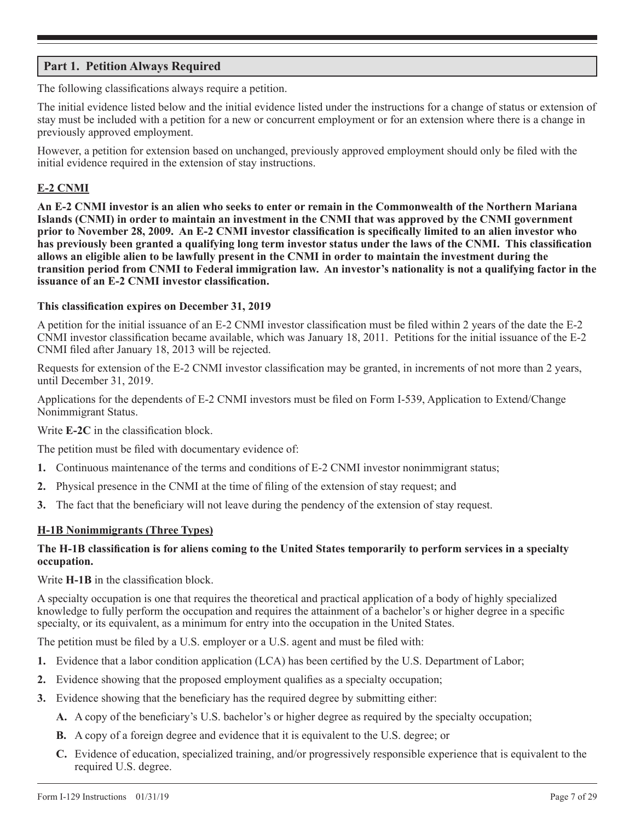# **Part 1. Petition Always Required**

The following classifications always require a petition.

The initial evidence listed below and the initial evidence listed under the instructions for a change of status or extension of stay must be included with a petition for a new or concurrent employment or for an extension where there is a change in previously approved employment.

However, a petition for extension based on unchanged, previously approved employment should only be filed with the initial evidence required in the extension of stay instructions.

## **E-2 CNMI**

**An E-2 CNMI investor is an alien who seeks to enter or remain in the Commonwealth of the Northern Mariana Islands (CNMI) in order to maintain an investment in the CNMI that was approved by the CNMI government prior to November 28, 2009. An E-2 CNMI investor classification is specifically limited to an alien investor who has previously been granted a qualifying long term investor status under the laws of the CNMI. This classification allows an eligible alien to be lawfully present in the CNMI in order to maintain the investment during the transition period from CNMI to Federal immigration law. An investor's nationality is not a qualifying factor in the issuance of an E-2 CNMI investor classification.**

#### **This classification expires on December 31, 2019**

A petition for the initial issuance of an E-2 CNMI investor classification must be filed within 2 years of the date the E-2 CNMI investor classification became available, which was January 18, 2011. Petitions for the initial issuance of the E-2 CNMI filed after January 18, 2013 will be rejected.

Requests for extension of the E-2 CNMI investor classification may be granted, in increments of not more than 2 years, until December 31, 2019.

Applications for the dependents of E-2 CNMI investors must be filed on Form I-539, Application to Extend/Change Nonimmigrant Status.

Write **E-2C** in the classification block.

The petition must be filed with documentary evidence of:

- **1.** Continuous maintenance of the terms and conditions of E-2 CNMI investor nonimmigrant status;
- **2.** Physical presence in the CNMI at the time of filing of the extension of stay request; and
- **3.** The fact that the beneficiary will not leave during the pendency of the extension of stay request.

## **H-1B Nonimmigrants (Three Types)**

## **The H-1B classification is for aliens coming to the United States temporarily to perform services in a specialty occupation.**

Write **H-1B** in the classification block.

A specialty occupation is one that requires the theoretical and practical application of a body of highly specialized knowledge to fully perform the occupation and requires the attainment of a bachelor's or higher degree in a specific specialty, or its equivalent, as a minimum for entry into the occupation in the United States.

The petition must be filed by a U.S. employer or a U.S. agent and must be filed with:

- **1.** Evidence that a labor condition application (LCA) has been certified by the U.S. Department of Labor;
- **2.** Evidence showing that the proposed employment qualifies as a specialty occupation;
- **3.** Evidence showing that the beneficiary has the required degree by submitting either:
	- **A.** A copy of the beneficiary's U.S. bachelor's or higher degree as required by the specialty occupation;
	- **B.** A copy of a foreign degree and evidence that it is equivalent to the U.S. degree; or
	- **C.** Evidence of education, specialized training, and/or progressively responsible experience that is equivalent to the required U.S. degree.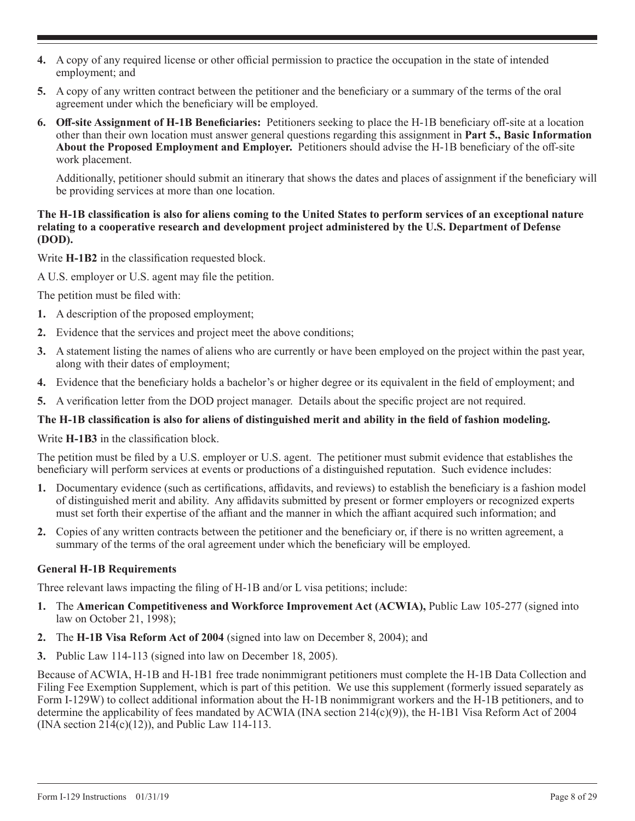- **4.** A copy of any required license or other official permission to practice the occupation in the state of intended employment; and
- **5.** A copy of any written contract between the petitioner and the beneficiary or a summary of the terms of the oral agreement under which the beneficiary will be employed.
- **6. Off-site Assignment of H-1B Beneficiaries:** Petitioners seeking to place the H-1B beneficiary off-site at a location other than their own location must answer general questions regarding this assignment in **Part 5., Basic Information About the Proposed Employment and Employer.** Petitioners should advise the H-1B beneficiary of the off-site work placement.

Additionally, petitioner should submit an itinerary that shows the dates and places of assignment if the beneficiary will be providing services at more than one location.

## **The H-1B classification is also for aliens coming to the United States to perform services of an exceptional nature relating to a cooperative research and development project administered by the U.S. Department of Defense (DOD).**

Write **H-1B2** in the classification requested block.

A U.S. employer or U.S. agent may file the petition.

The petition must be filed with:

- **1.** A description of the proposed employment;
- **2.** Evidence that the services and project meet the above conditions;
- **3.** A statement listing the names of aliens who are currently or have been employed on the project within the past year, along with their dates of employment;
- **4.** Evidence that the beneficiary holds a bachelor's or higher degree or its equivalent in the field of employment; and
- **5.** A verification letter from the DOD project manager. Details about the specific project are not required.

# **The H-1B classification is also for aliens of distinguished merit and ability in the field of fashion modeling.**

Write **H-1B3** in the classification block.

The petition must be filed by a U.S. employer or U.S. agent. The petitioner must submit evidence that establishes the beneficiary will perform services at events or productions of a distinguished reputation. Such evidence includes:

- **1.** Documentary evidence (such as certifications, affidavits, and reviews) to establish the beneficiary is a fashion model of distinguished merit and ability. Any affidavits submitted by present or former employers or recognized experts must set forth their expertise of the affiant and the manner in which the affiant acquired such information; and
- **2.** Copies of any written contracts between the petitioner and the beneficiary or, if there is no written agreement, a summary of the terms of the oral agreement under which the beneficiary will be employed.

## **General H-1B Requirements**

Three relevant laws impacting the filing of H-1B and/or L visa petitions; include:

- **1.** The **American Competitiveness and Workforce Improvement Act (ACWIA),** Public Law 105-277 (signed into law on October 21, 1998);
- **2.** The **H-1B Visa Reform Act of 2004** (signed into law on December 8, 2004); and
- **3.** Public Law 114-113 (signed into law on December 18, 2005).

Because of ACWIA, H-1B and H-1B1 free trade nonimmigrant petitioners must complete the H-1B Data Collection and Filing Fee Exemption Supplement, which is part of this petition. We use this supplement (formerly issued separately as Form I-129W) to collect additional information about the H-1B nonimmigrant workers and the H-1B petitioners, and to determine the applicability of fees mandated by ACWIA (INA section 214(c)(9)), the H-1B1 Visa Reform Act of 2004  $(INA section 214(c)(12))$ , and Public Law 114-113.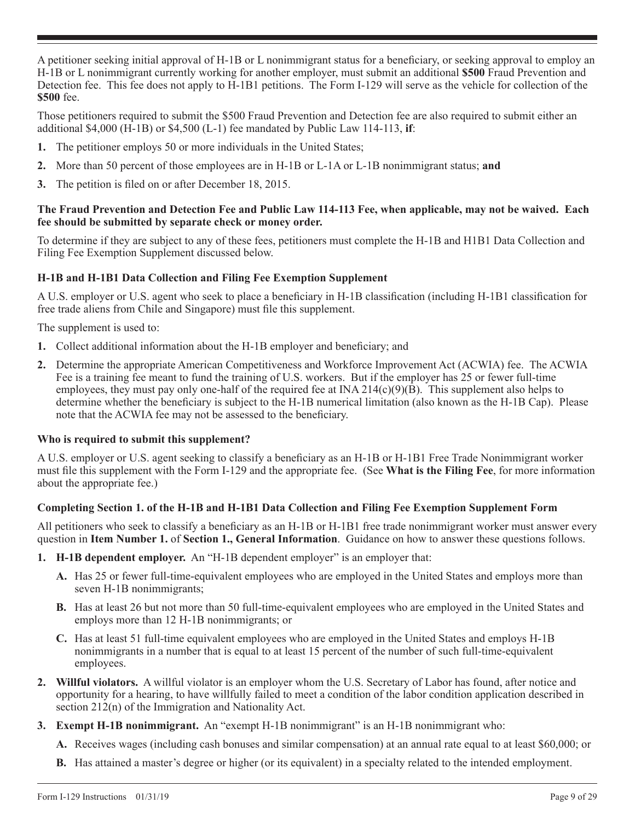A petitioner seeking initial approval of H-1B or L nonimmigrant status for a beneficiary, or seeking approval to employ an H-1B or L nonimmigrant currently working for another employer, must submit an additional **\$500** Fraud Prevention and Detection fee. This fee does not apply to H-1B1 petitions. The Form I-129 will serve as the vehicle for collection of the **\$500** fee.

Those petitioners required to submit the \$500 Fraud Prevention and Detection fee are also required to submit either an additional \$4,000 (H-1B) or \$4,500 (L-1) fee mandated by Public Law 114-113, **if**:

- **1.** The petitioner employs 50 or more individuals in the United States;
- **2.** More than 50 percent of those employees are in H-1B or L-1A or L-1B nonimmigrant status; **and**
- **3.** The petition is filed on or after December 18, 2015.

## **The Fraud Prevention and Detection Fee and Public Law 114-113 Fee, when applicable, may not be waived. Each fee should be submitted by separate check or money order.**

To determine if they are subject to any of these fees, petitioners must complete the H-1B and H1B1 Data Collection and Filing Fee Exemption Supplement discussed below.

## **H-1B and H-1B1 Data Collection and Filing Fee Exemption Supplement**

A U.S. employer or U.S. agent who seek to place a beneficiary in H-1B classification (including H-1B1 classification for free trade aliens from Chile and Singapore) must file this supplement.

The supplement is used to:

- **1.** Collect additional information about the H-1B employer and beneficiary; and
- **2.** Determine the appropriate American Competitiveness and Workforce Improvement Act (ACWIA) fee. The ACWIA Fee is a training fee meant to fund the training of U.S. workers. But if the employer has 25 or fewer full-time employees, they must pay only one-half of the required fee at  $INA 214(c)(9)(B)$ . This supplement also helps to determine whether the beneficiary is subject to the H-1B numerical limitation (also known as the H-1B Cap). Please note that the ACWIA fee may not be assessed to the beneficiary.

## **Who is required to submit this supplement?**

A U.S. employer or U.S. agent seeking to classify a beneficiary as an H-1B or H-1B1 Free Trade Nonimmigrant worker must file this supplement with the Form I-129 and the appropriate fee. (See **What is the Filing Fee**, for more information about the appropriate fee.)

## **Completing Section 1. of the H-1B and H-1B1 Data Collection and Filing Fee Exemption Supplement Form**

All petitioners who seek to classify a beneficiary as an H-1B or H-1B1 free trade nonimmigrant worker must answer every question in **Item Number 1.** of **Section 1., General Information**. Guidance on how to answer these questions follows.

- **1. H-1B dependent employer.** An "H-1B dependent employer" is an employer that:
	- **A.** Has 25 or fewer full-time-equivalent employees who are employed in the United States and employs more than seven H-1B nonimmigrants;
	- **B.** Has at least 26 but not more than 50 full-time-equivalent employees who are employed in the United States and employs more than 12 H-1B nonimmigrants; or
	- **C.** Has at least 51 full-time equivalent employees who are employed in the United States and employs H-1B nonimmigrants in a number that is equal to at least 15 percent of the number of such full-time-equivalent employees.
- **2. Willful violators.** A willful violator is an employer whom the U.S. Secretary of Labor has found, after notice and opportunity for a hearing, to have willfully failed to meet a condition of the labor condition application described in section 212(n) of the Immigration and Nationality Act.
- **3. Exempt H-1B nonimmigrant.** An "exempt H-1B nonimmigrant" is an H-1B nonimmigrant who:
	- **A.** Receives wages (including cash bonuses and similar compensation) at an annual rate equal to at least \$60,000; or
	- **B.** Has attained a master's degree or higher (or its equivalent) in a specialty related to the intended employment.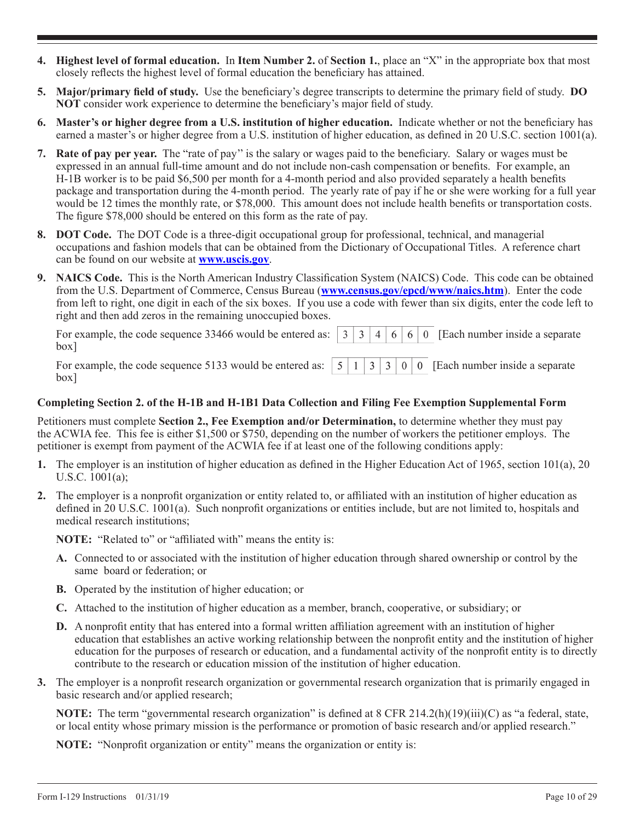- **4. Highest level of formal education.** In **Item Number 2.** of **Section 1.**, place an "X" in the appropriate box that most closely reflects the highest level of formal education the beneficiary has attained.
- **5. Major/primary field of study.** Use the beneficiary's degree transcripts to determine the primary field of study. **DO NOT** consider work experience to determine the beneficiary's major field of study.
- **6. Master's or higher degree from a U.S. institution of higher education.** Indicate whether or not the beneficiary has earned a master's or higher degree from a U.S. institution of higher education, as defined in 20 U.S.C. section 1001(a).
- **7. Rate of pay per year.** The "rate of pay'' is the salary or wages paid to the beneficiary. Salary or wages must be expressed in an annual full-time amount and do not include non-cash compensation or benefits. For example, an H-1B worker is to be paid \$6,500 per month for a 4-month period and also provided separately a health benefits package and transportation during the 4-month period. The yearly rate of pay if he or she were working for a full year would be 12 times the monthly rate, or \$78,000. This amount does not include health benefits or transportation costs. The figure \$78,000 should be entered on this form as the rate of pay.
- **8. DOT Code.** The DOT Code is a three-digit occupational group for professional, technical, and managerial occupations and fashion models that can be obtained from the Dictionary of Occupational Titles. A reference chart can be found on our website at **www.uscis.gov**.
- **9. NAICS Code.** This is the North American Industry Classification System (NAICS) Code. This code can be obtained from the U.S. Department of Commerce, Census Bureau (**www.census.gov/epcd/www/naics.htm**). Enter the code from left to right, one digit in each of the six boxes. If you use a code with fewer than six digits, enter the code left to right and then add zeros in the remaining unoccupied boxes.

| box <sub>1</sub>                                                                                             |  |  |  |  |
|--------------------------------------------------------------------------------------------------------------|--|--|--|--|
| For example, the code sequence 5133 would be entered as: $\boxed{5}$ 1 3 3 0 0 Each number inside a separate |  |  |  |  |

**Completing Section 2. of the H-1B and H-1B1 Data Collection and Filing Fee Exemption Supplemental Form**

Petitioners must complete **Section 2., Fee Exemption and/or Determination,** to determine whether they must pay the ACWIA fee. This fee is either \$1,500 or \$750, depending on the number of workers the petitioner employs. The petitioner is exempt from payment of the ACWIA fee if at least one of the following conditions apply:

- **1.** The employer is an institution of higher education as defined in the Higher Education Act of 1965, section 101(a), 20 U.S.C. 1001(a);
- **2.** The employer is a nonprofit organization or entity related to, or affiliated with an institution of higher education as defined in 20 U.S.C. 1001(a). Such nonprofit organizations or entities include, but are not limited to, hospitals and medical research institutions;

**NOTE:** "Related to" or "affiliated with" means the entity is:

- **A.** Connected to or associated with the institution of higher education through shared ownership or control by the same board or federation; or
- **B.** Operated by the institution of higher education; or
- **C.** Attached to the institution of higher education as a member, branch, cooperative, or subsidiary; or
- **D.** A nonprofit entity that has entered into a formal written affiliation agreement with an institution of higher education that establishes an active working relationship between the nonprofit entity and the institution of higher education for the purposes of research or education, and a fundamental activity of the nonprofit entity is to directly contribute to the research or education mission of the institution of higher education.
- **3.** The employer is a nonprofit research organization or governmental research organization that is primarily engaged in basic research and/or applied research;

**NOTE:** The term "governmental research organization" is defined at 8 CFR 214.2(h)(19)(iii)(C) as "a federal, state, or local entity whose primary mission is the performance or promotion of basic research and/or applied research."

**NOTE:** "Nonprofit organization or entity" means the organization or entity is:

box]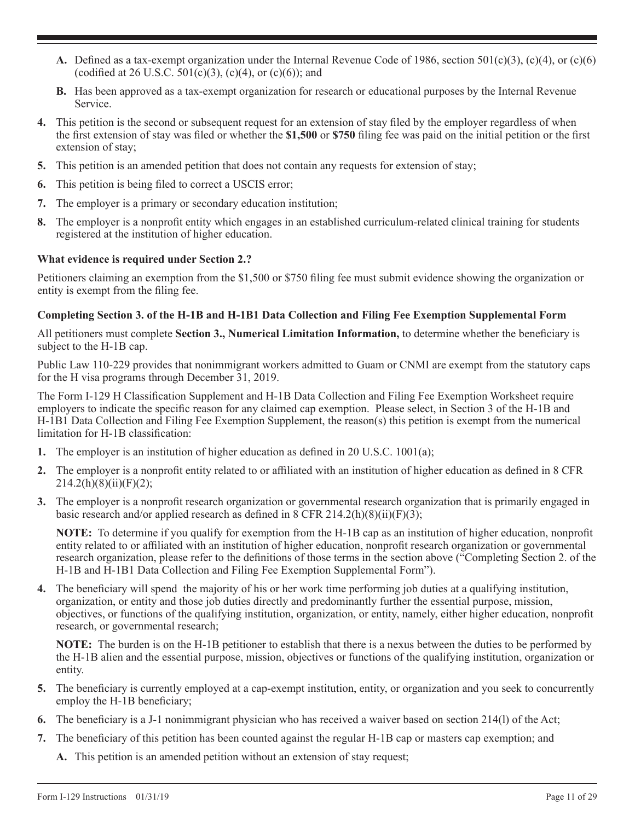- **A.** Defined as a tax-exempt organization under the Internal Revenue Code of 1986, section 501(c)(3), (c)(4), or (c)(6) (codified at 26 U.S.C.  $501(c)(3)$ ,  $(c)(4)$ , or  $(c)(6)$ ); and
- **B.** Has been approved as a tax-exempt organization for research or educational purposes by the Internal Revenue Service.
- **4.** This petition is the second or subsequent request for an extension of stay filed by the employer regardless of when the first extension of stay was filed or whether the **\$1,500** or **\$750** filing fee was paid on the initial petition or the first extension of stay;
- **5.** This petition is an amended petition that does not contain any requests for extension of stay;
- **6.** This petition is being filed to correct a USCIS error;
- **7.** The employer is a primary or secondary education institution;
- **8.** The employer is a nonprofit entity which engages in an established curriculum-related clinical training for students registered at the institution of higher education.

#### **What evidence is required under Section 2.?**

Petitioners claiming an exemption from the \$1,500 or \$750 filing fee must submit evidence showing the organization or entity is exempt from the filing fee.

#### **Completing Section 3. of the H-1B and H-1B1 Data Collection and Filing Fee Exemption Supplemental Form**

All petitioners must complete **Section 3., Numerical Limitation Information,** to determine whether the beneficiary is subject to the H-1B cap.

Public Law 110-229 provides that nonimmigrant workers admitted to Guam or CNMI are exempt from the statutory caps for the H visa programs through December 31, 2019.

The Form I-129 H Classification Supplement and H-1B Data Collection and Filing Fee Exemption Worksheet require employers to indicate the specific reason for any claimed cap exemption. Please select, in Section 3 of the H-1B and H-1B1 Data Collection and Filing Fee Exemption Supplement, the reason(s) this petition is exempt from the numerical limitation for H-1B classification:

- **1.** The employer is an institution of higher education as defined in 20 U.S.C. 1001(a);
- **2.** The employer is a nonprofit entity related to or affiliated with an institution of higher education as defined in 8 CFR  $214.2(h)(8)(ii)(F)(2);$
- **3.** The employer is a nonprofit research organization or governmental research organization that is primarily engaged in basic research and/or applied research as defined in 8 CFR 214.2(h)(8)(ii)(F)(3);

**NOTE:** To determine if you qualify for exemption from the H-1B cap as an institution of higher education, nonprofit entity related to or affiliated with an institution of higher education, nonprofit research organization or governmental research organization, please refer to the definitions of those terms in the section above ("Completing Section 2. of the H-1B and H-1B1 Data Collection and Filing Fee Exemption Supplemental Form").

**4.** The beneficiary will spend the majority of his or her work time performing job duties at a qualifying institution, organization, or entity and those job duties directly and predominantly further the essential purpose, mission, objectives, or functions of the qualifying institution, organization, or entity, namely, either higher education, nonprofit research, or governmental research;

**NOTE:** The burden is on the H-1B petitioner to establish that there is a nexus between the duties to be performed by the H-1B alien and the essential purpose, mission, objectives or functions of the qualifying institution, organization or entity.

- **5.** The beneficiary is currently employed at a cap-exempt institution, entity, or organization and you seek to concurrently employ the H-1B beneficiary;
- **6.** The beneficiary is a J-1 nonimmigrant physician who has received a waiver based on section 214(l) of the Act;
- **7.** The beneficiary of this petition has been counted against the regular H-1B cap or masters cap exemption; and
	- **A.** This petition is an amended petition without an extension of stay request;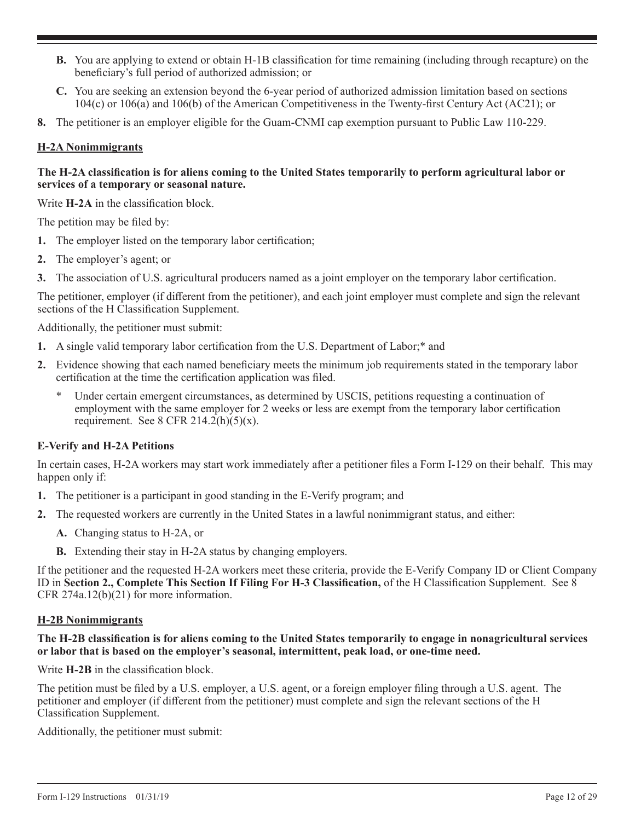- **B.** You are applying to extend or obtain H-1B classification for time remaining (including through recapture) on the beneficiary's full period of authorized admission; or
- **C.** You are seeking an extension beyond the 6-year period of authorized admission limitation based on sections 104(c) or 106(a) and 106(b) of the American Competitiveness in the Twenty-first Century Act (AC21); or
- **8.** The petitioner is an employer eligible for the Guam-CNMI cap exemption pursuant to Public Law 110-229.

## **H-2A Nonimmigrants**

## **The H-2A classification is for aliens coming to the United States temporarily to perform agricultural labor or services of a temporary or seasonal nature.**

Write **H-2A** in the classification block.

The petition may be filed by:

- **1.** The employer listed on the temporary labor certification;
- **2.** The employer's agent; or
- **3.** The association of U.S. agricultural producers named as a joint employer on the temporary labor certification.

The petitioner, employer (if different from the petitioner), and each joint employer must complete and sign the relevant sections of the H Classification Supplement.

Additionally, the petitioner must submit:

- **1.** A single valid temporary labor certification from the U.S. Department of Labor;\* and
- **2.** Evidence showing that each named beneficiary meets the minimum job requirements stated in the temporary labor certification at the time the certification application was filed.
	- Under certain emergent circumstances, as determined by USCIS, petitions requesting a continuation of employment with the same employer for 2 weeks or less are exempt from the temporary labor certification requirement. See 8 CFR 214.2(h)(5)(x).

# **E-Verify and H-2A Petitions**

In certain cases, H-2A workers may start work immediately after a petitioner files a Form I-129 on their behalf. This may happen only if:

- **1.** The petitioner is a participant in good standing in the E-Verify program; and
- **2.** The requested workers are currently in the United States in a lawful nonimmigrant status, and either:
	- **A.** Changing status to H-2A, or
	- **B.** Extending their stay in H-2A status by changing employers.

If the petitioner and the requested H-2A workers meet these criteria, provide the E-Verify Company ID or Client Company ID in **Section 2., Complete This Section If Filing For H-3 Classification,** of the H Classification Supplement. See 8 CFR 274a.12(b)(21) for more information.

## **H-2B Nonimmigrants**

## **The H-2B classification is for aliens coming to the United States temporarily to engage in nonagricultural services or labor that is based on the employer's seasonal, intermittent, peak load, or one-time need.**

Write **H-2B** in the classification block.

The petition must be filed by a U.S. employer, a U.S. agent, or a foreign employer filing through a U.S. agent. The petitioner and employer (if different from the petitioner) must complete and sign the relevant sections of the H Classification Supplement.

Additionally, the petitioner must submit: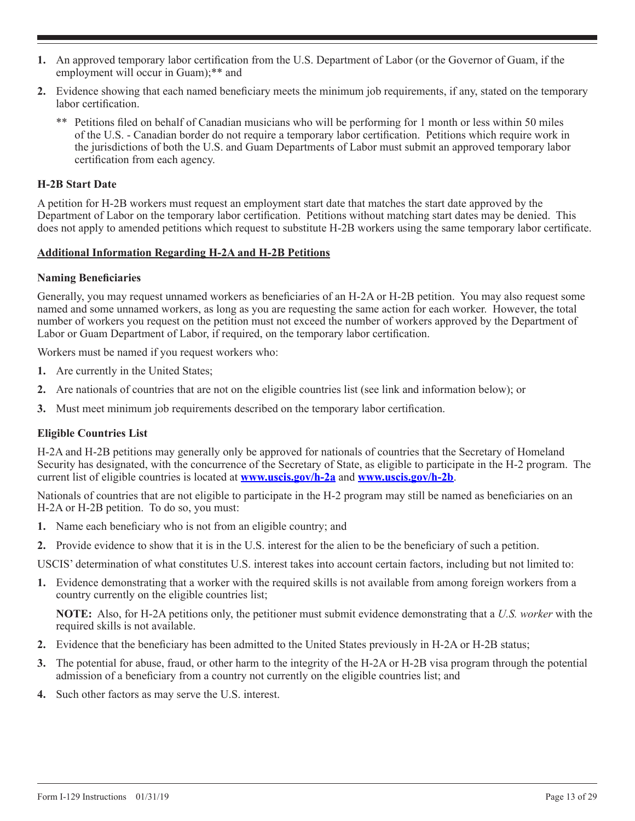- **1.** An approved temporary labor certification from the U.S. Department of Labor (or the Governor of Guam, if the employment will occur in Guam);\*\* and
- **2.** Evidence showing that each named beneficiary meets the minimum job requirements, if any, stated on the temporary labor certification.
	- \*\* Petitions filed on behalf of Canadian musicians who will be performing for 1 month or less within 50 miles of the U.S. - Canadian border do not require a temporary labor certification. Petitions which require work in the jurisdictions of both the U.S. and Guam Departments of Labor must submit an approved temporary labor certification from each agency.

## **H-2B Start Date**

A petition for H-2B workers must request an employment start date that matches the start date approved by the Department of Labor on the temporary labor certification. Petitions without matching start dates may be denied. This does not apply to amended petitions which request to substitute H-2B workers using the same temporary labor certificate.

## **Additional Information Regarding H-2A and H-2B Petitions**

## **Naming Beneficiaries**

Generally, you may request unnamed workers as beneficiaries of an H-2A or H-2B petition. You may also request some named and some unnamed workers, as long as you are requesting the same action for each worker. However, the total number of workers you request on the petition must not exceed the number of workers approved by the Department of Labor or Guam Department of Labor, if required, on the temporary labor certification.

Workers must be named if you request workers who:

- **1.** Are currently in the United States;
- **2.** Are nationals of countries that are not on the eligible countries list (see link and information below); or
- **3.** Must meet minimum job requirements described on the temporary labor certification.

## **Eligible Countries List**

H-2A and H-2B petitions may generally only be approved for nationals of countries that the Secretary of Homeland Security has designated, with the concurrence of the Secretary of State, as eligible to participate in the H-2 program. The current list of eligible countries is located at **www.uscis.gov/h-2a** and **www.uscis.gov/h-2b**.

Nationals of countries that are not eligible to participate in the H-2 program may still be named as beneficiaries on an H-2A or H-2B petition. To do so, you must:

- **1.** Name each beneficiary who is not from an eligible country; and
- **2.** Provide evidence to show that it is in the U.S. interest for the alien to be the beneficiary of such a petition.

USCIS' determination of what constitutes U.S. interest takes into account certain factors, including but not limited to:

**1.** Evidence demonstrating that a worker with the required skills is not available from among foreign workers from a country currently on the eligible countries list;

**NOTE:** Also, for H-2A petitions only, the petitioner must submit evidence demonstrating that a *U.S. worker* with the required skills is not available.

- **2.** Evidence that the beneficiary has been admitted to the United States previously in H-2A or H-2B status;
- **3.** The potential for abuse, fraud, or other harm to the integrity of the H-2A or H-2B visa program through the potential admission of a beneficiary from a country not currently on the eligible countries list; and
- **4.** Such other factors as may serve the U.S. interest.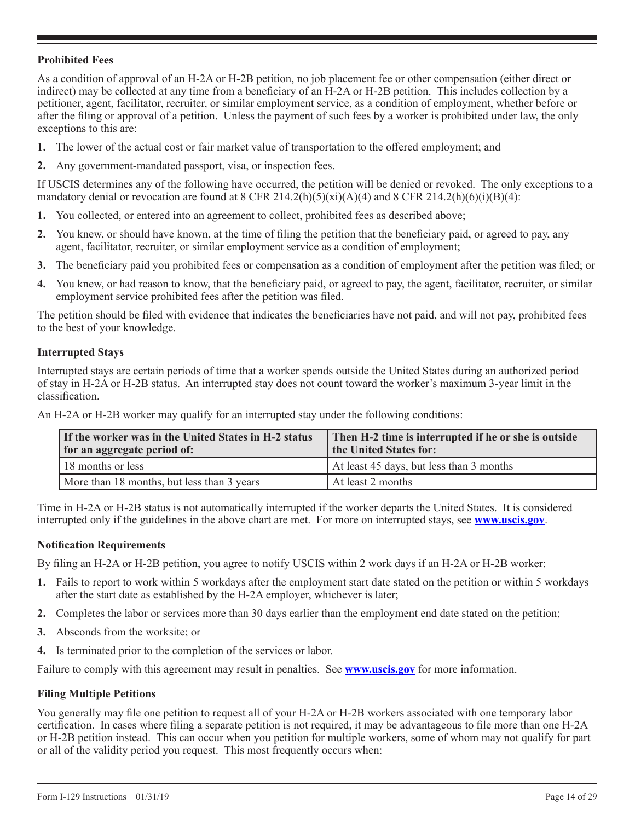## **Prohibited Fees**

As a condition of approval of an H-2A or H-2B petition, no job placement fee or other compensation (either direct or indirect) may be collected at any time from a beneficiary of an H-2A or H-2B petition. This includes collection by a petitioner, agent, facilitator, recruiter, or similar employment service, as a condition of employment, whether before or after the filing or approval of a petition. Unless the payment of such fees by a worker is prohibited under law, the only exceptions to this are:

- **1.** The lower of the actual cost or fair market value of transportation to the offered employment; and
- **2.** Any government-mandated passport, visa, or inspection fees.

If USCIS determines any of the following have occurred, the petition will be denied or revoked. The only exceptions to a mandatory denial or revocation are found at 8 CFR 214.2(h)(5)(xi)(A)(4) and 8 CFR 214.2(h)(6)(i)(B)(4):

- **1.** You collected, or entered into an agreement to collect, prohibited fees as described above;
- **2.** You knew, or should have known, at the time of filing the petition that the beneficiary paid, or agreed to pay, any agent, facilitator, recruiter, or similar employment service as a condition of employment;
- **3.** The beneficiary paid you prohibited fees or compensation as a condition of employment after the petition was filed; or
- **4.** You knew, or had reason to know, that the beneficiary paid, or agreed to pay, the agent, facilitator, recruiter, or similar employment service prohibited fees after the petition was filed.

The petition should be filed with evidence that indicates the beneficiaries have not paid, and will not pay, prohibited fees to the best of your knowledge.

#### **Interrupted Stays**

Interrupted stays are certain periods of time that a worker spends outside the United States during an authorized period of stay in H-2A or H-2B status. An interrupted stay does not count toward the worker's maximum 3-year limit in the classification.

An H-2A or H-2B worker may qualify for an interrupted stay under the following conditions:

| If the worker was in the United States in H-2 status<br>for an aggregate period of: | Then H-2 time is interrupted if he or she is outside<br>the United States for: |  |  |  |  |
|-------------------------------------------------------------------------------------|--------------------------------------------------------------------------------|--|--|--|--|
| 18 months or less                                                                   | At least 45 days, but less than 3 months                                       |  |  |  |  |
| More than 18 months, but less than 3 years                                          | At least 2 months                                                              |  |  |  |  |

Time in H-2A or H-2B status is not automatically interrupted if the worker departs the United States. It is considered interrupted only if the guidelines in the above chart are met. For more on interrupted stays, see **www.uscis.gov**.

#### **Notification Requirements**

By filing an H-2A or H-2B petition, you agree to notify USCIS within 2 work days if an H-2A or H-2B worker:

- **1.** Fails to report to work within 5 workdays after the employment start date stated on the petition or within 5 workdays after the start date as established by the H-2A employer, whichever is later;
- **2.** Completes the labor or services more than 30 days earlier than the employment end date stated on the petition;
- **3.** Absconds from the worksite; or
- **4.** Is terminated prior to the completion of the services or labor.

Failure to comply with this agreement may result in penalties. See **www.uscis.gov** for more information.

#### **Filing Multiple Petitions**

You generally may file one petition to request all of your H-2A or H-2B workers associated with one temporary labor certification. In cases where filing a separate petition is not required, it may be advantageous to file more than one H-2A or H-2B petition instead. This can occur when you petition for multiple workers, some of whom may not qualify for part or all of the validity period you request. This most frequently occurs when: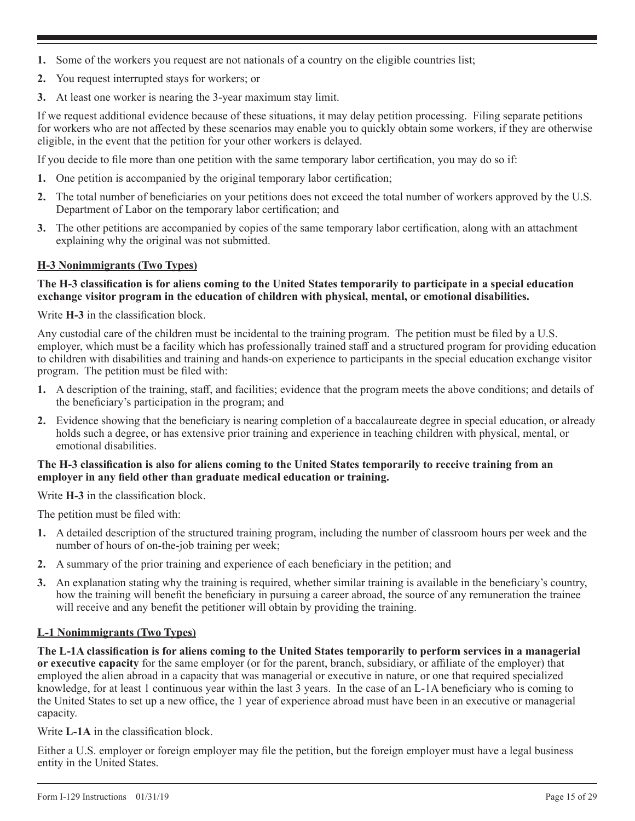- **1.** Some of the workers you request are not nationals of a country on the eligible countries list;
- **2.** You request interrupted stays for workers; or
- **3.** At least one worker is nearing the 3-year maximum stay limit.

If we request additional evidence because of these situations, it may delay petition processing. Filing separate petitions for workers who are not affected by these scenarios may enable you to quickly obtain some workers, if they are otherwise eligible, in the event that the petition for your other workers is delayed.

If you decide to file more than one petition with the same temporary labor certification, you may do so if:

- **1.** One petition is accompanied by the original temporary labor certification;
- **2.** The total number of beneficiaries on your petitions does not exceed the total number of workers approved by the U.S. Department of Labor on the temporary labor certification; and
- **3.** The other petitions are accompanied by copies of the same temporary labor certification, along with an attachment explaining why the original was not submitted.

## **H-3 Nonimmigrants (Two Types)**

## **The H-3 classification is for aliens coming to the United States temporarily to participate in a special education exchange visitor program in the education of children with physical, mental, or emotional disabilities.**

Write **H-3** in the classification block.

Any custodial care of the children must be incidental to the training program. The petition must be filed by a U.S. employer, which must be a facility which has professionally trained staff and a structured program for providing education to children with disabilities and training and hands-on experience to participants in the special education exchange visitor program. The petition must be filed with:

- **1.** A description of the training, staff, and facilities; evidence that the program meets the above conditions; and details of the beneficiary's participation in the program; and
- **2.** Evidence showing that the beneficiary is nearing completion of a baccalaureate degree in special education, or already holds such a degree, or has extensive prior training and experience in teaching children with physical, mental, or emotional disabilities.

## **The H-3 classification is also for aliens coming to the United States temporarily to receive training from an employer in any field other than graduate medical education or training.**

Write **H-3** in the classification block.

The petition must be filed with:

- **1.** A detailed description of the structured training program, including the number of classroom hours per week and the number of hours of on-the-job training per week;
- **2.** A summary of the prior training and experience of each beneficiary in the petition; and
- **3.** An explanation stating why the training is required, whether similar training is available in the beneficiary's country, how the training will benefit the beneficiary in pursuing a career abroad, the source of any remuneration the trainee will receive and any benefit the petitioner will obtain by providing the training.

## **L-1 Nonimmigrants (Two Types)**

**The L-1A classification is for aliens coming to the United States temporarily to perform services in a managerial or executive capacity** for the same employer (or for the parent, branch, subsidiary, or affiliate of the employer) that employed the alien abroad in a capacity that was managerial or executive in nature, or one that required specialized knowledge, for at least 1 continuous year within the last 3 years. In the case of an L-1A beneficiary who is coming to the United States to set up a new office, the 1 year of experience abroad must have been in an executive or managerial capacity.

Write **L-1A** in the classification block.

Either a U.S. employer or foreign employer may file the petition, but the foreign employer must have a legal business entity in the United States.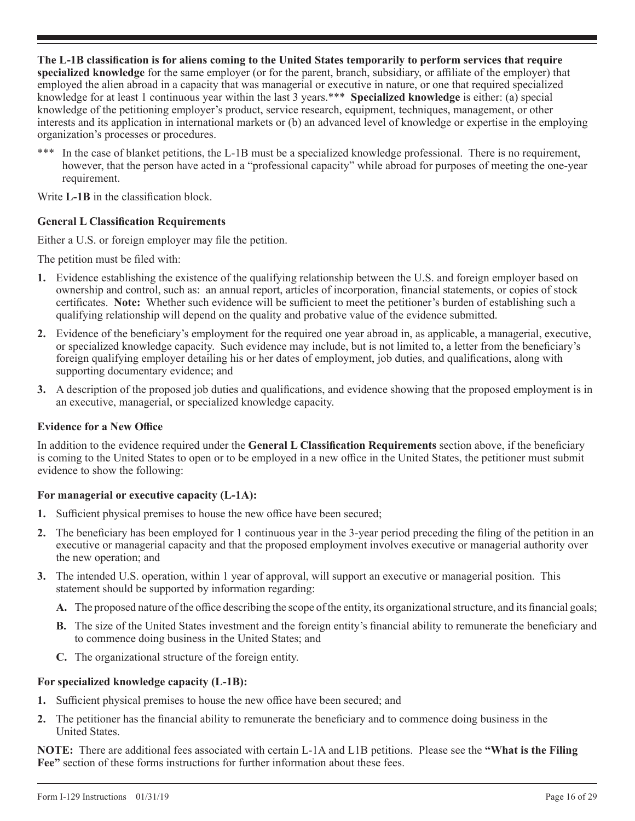**The L-1B classification is for aliens coming to the United States temporarily to perform services that require specialized knowledge** for the same employer (or for the parent, branch, subsidiary, or affiliate of the employer) that employed the alien abroad in a capacity that was managerial or executive in nature, or one that required specialized knowledge for at least 1 continuous year within the last 3 years.\*\*\* **Specialized knowledge** is either: (a) special knowledge of the petitioning employer's product, service research, equipment, techniques, management, or other interests and its application in international markets or (b) an advanced level of knowledge or expertise in the employing organization's processes or procedures.

\*\*\* In the case of blanket petitions, the L-1B must be a specialized knowledge professional. There is no requirement, however, that the person have acted in a "professional capacity" while abroad for purposes of meeting the one-year requirement.

Write **L-1B** in the classification block.

## **General L Classification Requirements**

Either a U.S. or foreign employer may file the petition.

The petition must be filed with:

- **1.** Evidence establishing the existence of the qualifying relationship between the U.S. and foreign employer based on ownership and control, such as: an annual report, articles of incorporation, financial statements, or copies of stock certificates. **Note:** Whether such evidence will be sufficient to meet the petitioner's burden of establishing such a qualifying relationship will depend on the quality and probative value of the evidence submitted.
- **2.** Evidence of the beneficiary's employment for the required one year abroad in, as applicable, a managerial, executive, or specialized knowledge capacity. Such evidence may include, but is not limited to, a letter from the beneficiary's foreign qualifying employer detailing his or her dates of employment, job duties, and qualifications, along with supporting documentary evidence; and
- **3.** A description of the proposed job duties and qualifications, and evidence showing that the proposed employment is in an executive, managerial, or specialized knowledge capacity.

## **Evidence for a New Office**

In addition to the evidence required under the **General L Classification Requirements** section above, if the beneficiary is coming to the United States to open or to be employed in a new office in the United States, the petitioner must submit evidence to show the following:

## **For managerial or executive capacity (L-1A):**

- **1.** Sufficient physical premises to house the new office have been secured;
- **2.** The beneficiary has been employed for 1 continuous year in the 3-year period preceding the filing of the petition in an executive or managerial capacity and that the proposed employment involves executive or managerial authority over the new operation; and
- **3.** The intended U.S. operation, within 1 year of approval, will support an executive or managerial position. This statement should be supported by information regarding:
	- **A.** The proposed nature of the office describing the scope of the entity, its organizational structure, and its financial goals;
	- **B.** The size of the United States investment and the foreign entity's financial ability to remunerate the beneficiary and to commence doing business in the United States; and
	- **C.** The organizational structure of the foreign entity.

# **For specialized knowledge capacity (L-1B):**

- **1.** Sufficient physical premises to house the new office have been secured; and
- **2.** The petitioner has the financial ability to remunerate the beneficiary and to commence doing business in the United States.

**NOTE:** There are additional fees associated with certain L-1A and L1B petitions. Please see the **"What is the Filing Fee"** section of these forms instructions for further information about these fees.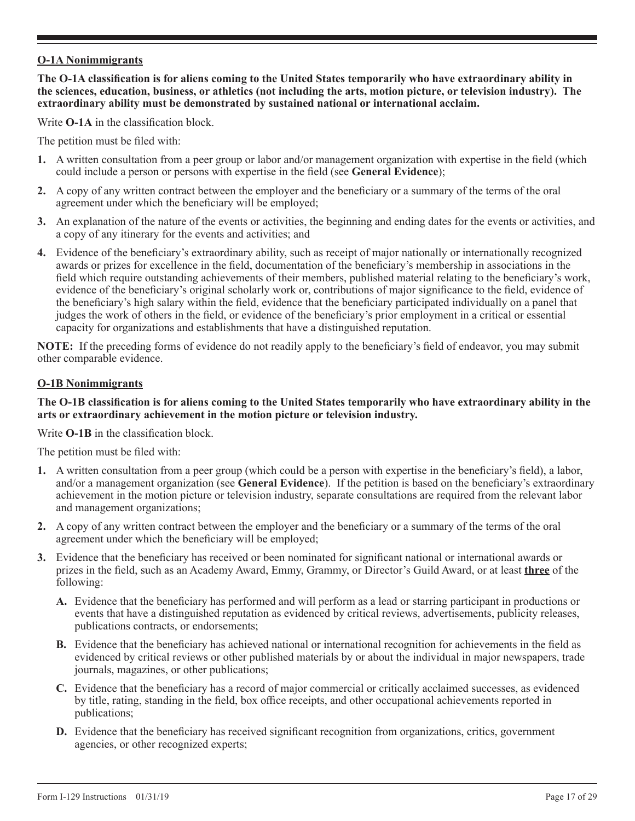# **O-1A Nonimmigrants**

**The O-1A classification is for aliens coming to the United States temporarily who have extraordinary ability in the sciences, education, business, or athletics (not including the arts, motion picture, or television industry). The extraordinary ability must be demonstrated by sustained national or international acclaim.**

Write **O-1A** in the classification block.

The petition must be filed with:

- **1.** A written consultation from a peer group or labor and/or management organization with expertise in the field (which could include a person or persons with expertise in the field (see **General Evidence**);
- **2.** A copy of any written contract between the employer and the beneficiary or a summary of the terms of the oral agreement under which the beneficiary will be employed;
- **3.** An explanation of the nature of the events or activities, the beginning and ending dates for the events or activities, and a copy of any itinerary for the events and activities; and
- **4.** Evidence of the beneficiary's extraordinary ability, such as receipt of major nationally or internationally recognized awards or prizes for excellence in the field, documentation of the beneficiary's membership in associations in the field which require outstanding achievements of their members, published material relating to the beneficiary's work, evidence of the beneficiary's original scholarly work or, contributions of major significance to the field, evidence of the beneficiary's high salary within the field, evidence that the beneficiary participated individually on a panel that judges the work of others in the field, or evidence of the beneficiary's prior employment in a critical or essential capacity for organizations and establishments that have a distinguished reputation.

**NOTE:** If the preceding forms of evidence do not readily apply to the beneficiary's field of endeavor, you may submit other comparable evidence.

#### **O-1B Nonimmigrants**

#### **The O-1B classification is for aliens coming to the United States temporarily who have extraordinary ability in the arts or extraordinary achievement in the motion picture or television industry.**

Write **O-1B** in the classification block.

The petition must be filed with:

- **1.** A written consultation from a peer group (which could be a person with expertise in the beneficiary's field), a labor, and/or a management organization (see **General Evidence**). If the petition is based on the beneficiary's extraordinary achievement in the motion picture or television industry, separate consultations are required from the relevant labor and management organizations;
- **2.** A copy of any written contract between the employer and the beneficiary or a summary of the terms of the oral agreement under which the beneficiary will be employed;
- **3.** Evidence that the beneficiary has received or been nominated for significant national or international awards or prizes in the field, such as an Academy Award, Emmy, Grammy, or Director's Guild Award, or at least **three** of the following:
	- **A.** Evidence that the beneficiary has performed and will perform as a lead or starring participant in productions or events that have a distinguished reputation as evidenced by critical reviews, advertisements, publicity releases, publications contracts, or endorsements;
	- **B.** Evidence that the beneficiary has achieved national or international recognition for achievements in the field as evidenced by critical reviews or other published materials by or about the individual in major newspapers, trade journals, magazines, or other publications;
	- **C.** Evidence that the beneficiary has a record of major commercial or critically acclaimed successes, as evidenced by title, rating, standing in the field, box office receipts, and other occupational achievements reported in publications;
	- **D.** Evidence that the beneficiary has received significant recognition from organizations, critics, government agencies, or other recognized experts;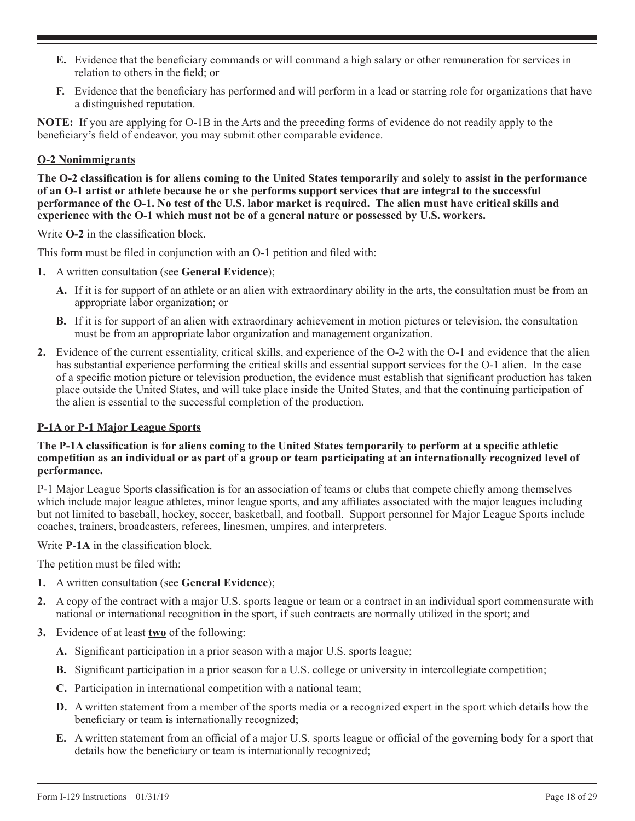- **E.** Evidence that the beneficiary commands or will command a high salary or other remuneration for services in relation to others in the field; or
- **F.** Evidence that the beneficiary has performed and will perform in a lead or starring role for organizations that have a distinguished reputation.

**NOTE:** If you are applying for O-1B in the Arts and the preceding forms of evidence do not readily apply to the beneficiary's field of endeavor, you may submit other comparable evidence.

# **O-2 Nonimmigrants**

**The O-2 classification is for aliens coming to the United States temporarily and solely to assist in the performance of an O-1 artist or athlete because he or she performs support services that are integral to the successful performance of the O-1. No test of the U.S. labor market is required. The alien must have critical skills and experience with the O-1 which must not be of a general nature or possessed by U.S. workers.**

Write **O-2** in the classification block.

This form must be filed in conjunction with an O-1 petition and filed with:

- **1.** A written consultation (see **General Evidence**);
	- **A.** If it is for support of an athlete or an alien with extraordinary ability in the arts, the consultation must be from an appropriate labor organization; or
	- **B.** If it is for support of an alien with extraordinary achievement in motion pictures or television, the consultation must be from an appropriate labor organization and management organization.
- **2.** Evidence of the current essentiality, critical skills, and experience of the O-2 with the O-1 and evidence that the alien has substantial experience performing the critical skills and essential support services for the O-1 alien. In the case of a specific motion picture or television production, the evidence must establish that significant production has taken place outside the United States, and will take place inside the United States, and that the continuing participation of the alien is essential to the successful completion of the production.

# **P-1A or P-1 Major League Sports**

## **The P-1A classification is for aliens coming to the United States temporarily to perform at a specific athletic competition as an individual or as part of a group or team participating at an internationally recognized level of performance.**

P-1 Major League Sports classification is for an association of teams or clubs that compete chiefly among themselves which include major league athletes, minor league sports, and any affiliates associated with the major leagues including but not limited to baseball, hockey, soccer, basketball, and football. Support personnel for Major League Sports include coaches, trainers, broadcasters, referees, linesmen, umpires, and interpreters.

Write **P-1A** in the classification block.

The petition must be filed with:

- **1.** A written consultation (see **General Evidence**);
- **2.** A copy of the contract with a major U.S. sports league or team or a contract in an individual sport commensurate with national or international recognition in the sport, if such contracts are normally utilized in the sport; and
- **3.** Evidence of at least **two** of the following:
	- **A.** Significant participation in a prior season with a major U.S. sports league;
	- **B.** Significant participation in a prior season for a U.S. college or university in intercollegiate competition;
	- **C.** Participation in international competition with a national team;
	- **D.** A written statement from a member of the sports media or a recognized expert in the sport which details how the beneficiary or team is internationally recognized;
	- **E.** A written statement from an official of a major U.S. sports league or official of the governing body for a sport that details how the beneficiary or team is internationally recognized;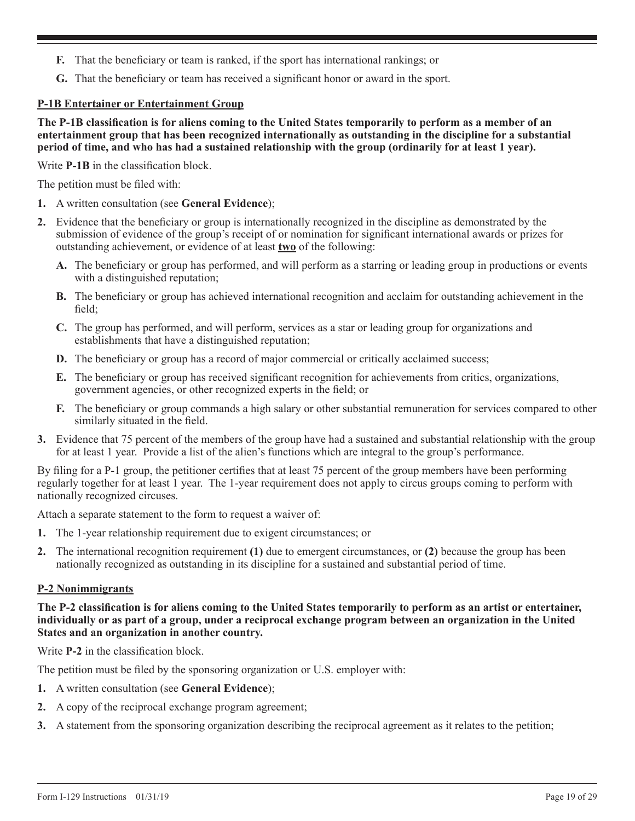- **F.** That the beneficiary or team is ranked, if the sport has international rankings; or
- **G.** That the beneficiary or team has received a significant honor or award in the sport.

## **P-1B Entertainer or Entertainment Group**

**The P-1B classification is for aliens coming to the United States temporarily to perform as a member of an entertainment group that has been recognized internationally as outstanding in the discipline for a substantial period of time, and who has had a sustained relationship with the group (ordinarily for at least 1 year).**

Write **P-1B** in the classification block.

The petition must be filed with:

- **1.** A written consultation (see **General Evidence**);
- **2.** Evidence that the beneficiary or group is internationally recognized in the discipline as demonstrated by the submission of evidence of the group's receipt of or nomination for significant international awards or prizes for outstanding achievement, or evidence of at least **two** of the following:
	- **A.** The beneficiary or group has performed, and will perform as a starring or leading group in productions or events with a distinguished reputation;
	- **B.** The beneficiary or group has achieved international recognition and acclaim for outstanding achievement in the field;
	- **C.** The group has performed, and will perform, services as a star or leading group for organizations and establishments that have a distinguished reputation;
	- **D.** The beneficiary or group has a record of major commercial or critically acclaimed success;
	- **E.** The beneficiary or group has received significant recognition for achievements from critics, organizations, government agencies, or other recognized experts in the field; or
	- **F.** The beneficiary or group commands a high salary or other substantial remuneration for services compared to other similarly situated in the field.
- **3.** Evidence that 75 percent of the members of the group have had a sustained and substantial relationship with the group for at least 1 year. Provide a list of the alien's functions which are integral to the group's performance.

By filing for a P-1 group, the petitioner certifies that at least 75 percent of the group members have been performing regularly together for at least 1 year. The 1-year requirement does not apply to circus groups coming to perform with nationally recognized circuses.

Attach a separate statement to the form to request a waiver of:

- **1.** The 1-year relationship requirement due to exigent circumstances; or
- **2.** The international recognition requirement **(1)** due to emergent circumstances, or **(2)** because the group has been nationally recognized as outstanding in its discipline for a sustained and substantial period of time.

## **P-2 Nonimmigrants**

**The P-2 classification is for aliens coming to the United States temporarily to perform as an artist or entertainer, individually or as part of a group, under a reciprocal exchange program between an organization in the United States and an organization in another country.**

Write **P-2** in the classification block.

The petition must be filed by the sponsoring organization or U.S. employer with:

- **1.** A written consultation (see **General Evidence**);
- **2.** A copy of the reciprocal exchange program agreement;
- **3.** A statement from the sponsoring organization describing the reciprocal agreement as it relates to the petition;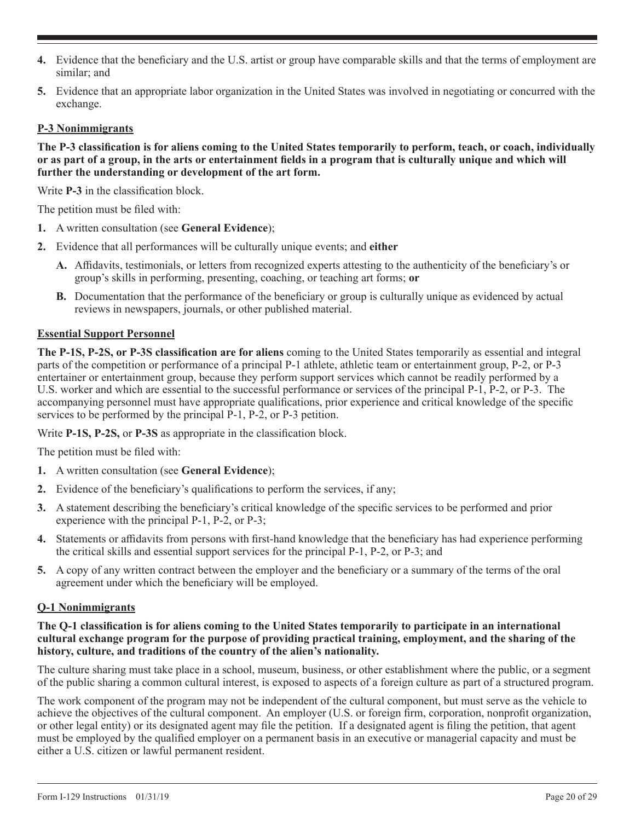- **4.** Evidence that the beneficiary and the U.S. artist or group have comparable skills and that the terms of employment are similar; and
- **5.** Evidence that an appropriate labor organization in the United States was involved in negotiating or concurred with the exchange.

## **P-3 Nonimmigrants**

**The P-3 classification is for aliens coming to the United States temporarily to perform, teach, or coach, individually or as part of a group, in the arts or entertainment fields in a program that is culturally unique and which will further the understanding or development of the art form.**

Write **P-3** in the classification block.

The petition must be filed with:

- **1.** A written consultation (see **General Evidence**);
- **2.** Evidence that all performances will be culturally unique events; and **either**
	- **A.** Affidavits, testimonials, or letters from recognized experts attesting to the authenticity of the beneficiary's or group's skills in performing, presenting, coaching, or teaching art forms; **or**
	- **B.** Documentation that the performance of the beneficiary or group is culturally unique as evidenced by actual reviews in newspapers, journals, or other published material.

## **Essential Support Personnel**

**The P-1S, P-2S, or P-3S classification are for aliens** coming to the United States temporarily as essential and integral parts of the competition or performance of a principal P-1 athlete, athletic team or entertainment group, P-2, or P-3 entertainer or entertainment group, because they perform support services which cannot be readily performed by a U.S. worker and which are essential to the successful performance or services of the principal P-1, P-2, or P-3. The accompanying personnel must have appropriate qualifications, prior experience and critical knowledge of the specific services to be performed by the principal P-1, P-2, or P-3 petition.

Write **P-1S, P-2S,** or **P-3S** as appropriate in the classification block.

The petition must be filed with:

- **1.** A written consultation (see **General Evidence**);
- **2.** Evidence of the beneficiary's qualifications to perform the services, if any;
- **3.** A statement describing the beneficiary's critical knowledge of the specific services to be performed and prior experience with the principal P-1, P-2, or P-3;
- **4.** Statements or affidavits from persons with first-hand knowledge that the beneficiary has had experience performing the critical skills and essential support services for the principal P-1, P-2, or P-3; and
- **5.** A copy of any written contract between the employer and the beneficiary or a summary of the terms of the oral agreement under which the beneficiary will be employed.

## **Q-1 Nonimmigrants**

#### **The Q-1 classification is for aliens coming to the United States temporarily to participate in an international cultural exchange program for the purpose of providing practical training, employment, and the sharing of the history, culture, and traditions of the country of the alien's nationality.**

The culture sharing must take place in a school, museum, business, or other establishment where the public, or a segment of the public sharing a common cultural interest, is exposed to aspects of a foreign culture as part of a structured program.

The work component of the program may not be independent of the cultural component, but must serve as the vehicle to achieve the objectives of the cultural component. An employer (U.S. or foreign firm, corporation, nonprofit organization, or other legal entity) or its designated agent may file the petition. If a designated agent is filing the petition, that agent must be employed by the qualified employer on a permanent basis in an executive or managerial capacity and must be either a U.S. citizen or lawful permanent resident.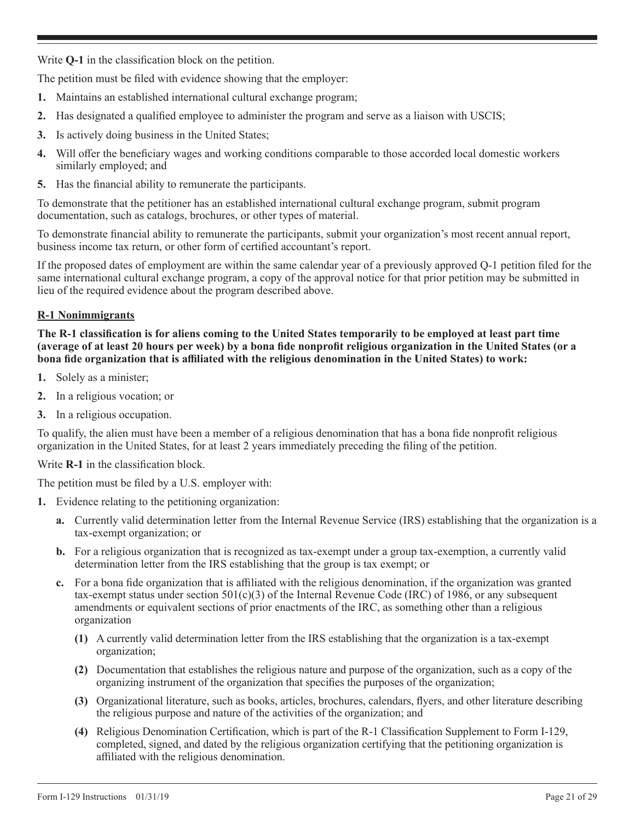Write **Q-1** in the classification block on the petition.

The petition must be filed with evidence showing that the employer:

- **1.** Maintains an established international cultural exchange program;
- **2.** Has designated a qualified employee to administer the program and serve as a liaison with USCIS;
- **3.** Is actively doing business in the United States;
- **4.** Will offer the beneficiary wages and working conditions comparable to those accorded local domestic workers similarly employed; and
- **5.** Has the financial ability to remunerate the participants.

To demonstrate that the petitioner has an established international cultural exchange program, submit program documentation, such as catalogs, brochures, or other types of material.

To demonstrate financial ability to remunerate the participants, submit your organization's most recent annual report, business income tax return, or other form of certified accountant's report.

If the proposed dates of employment are within the same calendar year of a previously approved Q-1 petition filed for the same international cultural exchange program, a copy of the approval notice for that prior petition may be submitted in lieu of the required evidence about the program described above.

## **R-1 Nonimmigrants**

**The R-1 classification is for aliens coming to the United States temporarily to be employed at least part time (average of at least 20 hours per week) by a bona fide nonprofit religious organization in the United States (or a bona fide organization that is affiliated with the religious denomination in the United States) to work:**

- **1.** Solely as a minister;
- **2.** In a religious vocation; or
- **3.** In a religious occupation.

To qualify, the alien must have been a member of a religious denomination that has a bona fide nonprofit religious organization in the United States, for at least 2 years immediately preceding the filing of the petition.

Write **R-1** in the classification block.

The petition must be filed by a U.S. employer with:

- **1.** Evidence relating to the petitioning organization:
	- **a.** Currently valid determination letter from the Internal Revenue Service (IRS) establishing that the organization is a tax-exempt organization; or
	- **b.** For a religious organization that is recognized as tax-exempt under a group tax-exemption, a currently valid determination letter from the IRS establishing that the group is tax exempt; or
	- **c.** For a bona fide organization that is affiliated with the religious denomination, if the organization was granted tax-exempt status under section  $501(c)(3)$  of the Internal Revenue Code (IRC) of 1986, or any subsequent amendments or equivalent sections of prior enactments of the IRC, as something other than a religious organization
		- **(1)** A currently valid determination letter from the IRS establishing that the organization is a tax-exempt organization;
		- **(2)** Documentation that establishes the religious nature and purpose of the organization, such as a copy of the organizing instrument of the organization that specifies the purposes of the organization;
		- **(3)** Organizational literature, such as books, articles, brochures, calendars, flyers, and other literature describing the religious purpose and nature of the activities of the organization; and
		- **(4)** Religious Denomination Certification, which is part of the R-1 Classification Supplement to Form I-129, completed, signed, and dated by the religious organization certifying that the petitioning organization is affiliated with the religious denomination.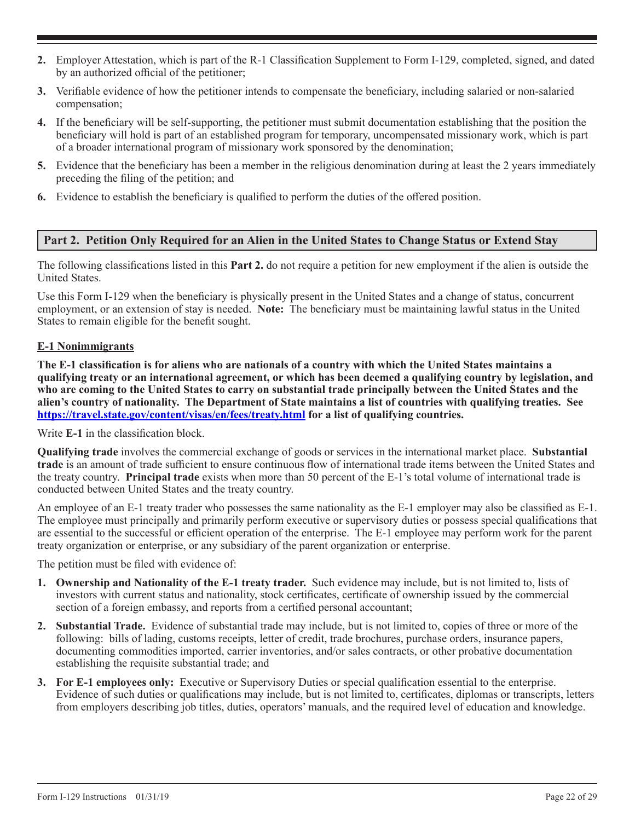- **2.** Employer Attestation, which is part of the R-1 Classification Supplement to Form I-129, completed, signed, and dated by an authorized official of the petitioner;
- **3.** Verifiable evidence of how the petitioner intends to compensate the beneficiary, including salaried or non-salaried compensation;
- **4.** If the beneficiary will be self-supporting, the petitioner must submit documentation establishing that the position the beneficiary will hold is part of an established program for temporary, uncompensated missionary work, which is part of a broader international program of missionary work sponsored by the denomination;
- **5.** Evidence that the beneficiary has been a member in the religious denomination during at least the 2 years immediately preceding the filing of the petition; and
- **6.** Evidence to establish the beneficiary is qualified to perform the duties of the offered position.

# **Part 2. Petition Only Required for an Alien in the United States to Change Status or Extend Stay**

The following classifications listed in this **Part 2.** do not require a petition for new employment if the alien is outside the United States.

Use this Form I-129 when the beneficiary is physically present in the United States and a change of status, concurrent employment, or an extension of stay is needed. **Note:** The beneficiary must be maintaining lawful status in the United States to remain eligible for the benefit sought.

## **E-1 Nonimmigrants**

**The E-1 classification is for aliens who are nationals of a country with which the United States maintains a qualifying treaty or an international agreement, or which has been deemed a qualifying country by legislation, and who are coming to the United States to carry on substantial trade principally between the United States and the alien's country of nationality. The Department of State maintains a list of countries with qualifying treaties. See https://travel.state.gov/content/visas/en/fees/treaty.html for a list of qualifying countries.**

Write **E-1** in the classification block.

**Qualifying trade** involves the commercial exchange of goods or services in the international market place. **Substantial trade** is an amount of trade sufficient to ensure continuous flow of international trade items between the United States and the treaty country. **Principal trade** exists when more than 50 percent of the E-1's total volume of international trade is conducted between United States and the treaty country.

An employee of an E-1 treaty trader who possesses the same nationality as the E-1 employer may also be classified as E-1. The employee must principally and primarily perform executive or supervisory duties or possess special qualifications that are essential to the successful or efficient operation of the enterprise. The E-1 employee may perform work for the parent treaty organization or enterprise, or any subsidiary of the parent organization or enterprise.

The petition must be filed with evidence of:

- **1. Ownership and Nationality of the E-1 treaty trader.** Such evidence may include, but is not limited to, lists of investors with current status and nationality, stock certificates, certificate of ownership issued by the commercial section of a foreign embassy, and reports from a certified personal accountant;
- **2. Substantial Trade.** Evidence of substantial trade may include, but is not limited to, copies of three or more of the following: bills of lading, customs receipts, letter of credit, trade brochures, purchase orders, insurance papers, documenting commodities imported, carrier inventories, and/or sales contracts, or other probative documentation establishing the requisite substantial trade; and
- **3. For E-1 employees only:** Executive or Supervisory Duties or special qualification essential to the enterprise. Evidence of such duties or qualifications may include, but is not limited to, certificates, diplomas or transcripts, letters from employers describing job titles, duties, operators' manuals, and the required level of education and knowledge.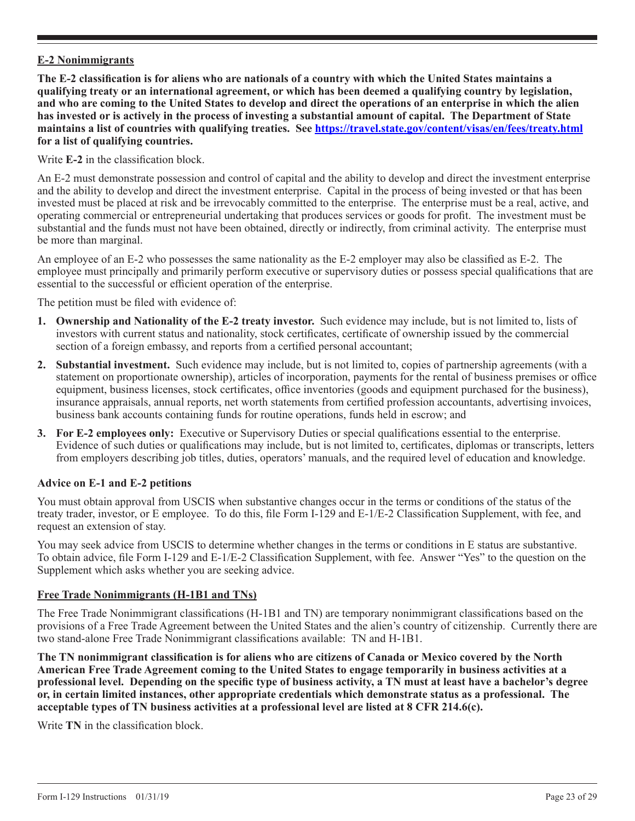# **E-2 Nonimmigrants**

**The E-2 classification is for aliens who are nationals of a country with which the United States maintains a qualifying treaty or an international agreement, or which has been deemed a qualifying country by legislation, and who are coming to the United States to develop and direct the operations of an enterprise in which the alien has invested or is actively in the process of investing a substantial amount of capital. The Department of State maintains a list of countries with qualifying treaties. See https://travel.state.gov/content/visas/en/fees/treaty.html for a list of qualifying countries.**

Write **E-2** in the classification block.

An E-2 must demonstrate possession and control of capital and the ability to develop and direct the investment enterprise and the ability to develop and direct the investment enterprise. Capital in the process of being invested or that has been invested must be placed at risk and be irrevocably committed to the enterprise. The enterprise must be a real, active, and operating commercial or entrepreneurial undertaking that produces services or goods for profit. The investment must be substantial and the funds must not have been obtained, directly or indirectly, from criminal activity. The enterprise must be more than marginal.

An employee of an E-2 who possesses the same nationality as the E-2 employer may also be classified as E-2. The employee must principally and primarily perform executive or supervisory duties or possess special qualifications that are essential to the successful or efficient operation of the enterprise.

The petition must be filed with evidence of:

- **1. Ownership and Nationality of the E-2 treaty investor.** Such evidence may include, but is not limited to, lists of investors with current status and nationality, stock certificates, certificate of ownership issued by the commercial section of a foreign embassy, and reports from a certified personal accountant;
- **2. Substantial investment.** Such evidence may include, but is not limited to, copies of partnership agreements (with a statement on proportionate ownership), articles of incorporation, payments for the rental of business premises or office equipment, business licenses, stock certificates, office inventories (goods and equipment purchased for the business), insurance appraisals, annual reports, net worth statements from certified profession accountants, advertising invoices, business bank accounts containing funds for routine operations, funds held in escrow; and
- **3. For E-2 employees only:** Executive or Supervisory Duties or special qualifications essential to the enterprise. Evidence of such duties or qualifications may include, but is not limited to, certificates, diplomas or transcripts, letters from employers describing job titles, duties, operators' manuals, and the required level of education and knowledge.

## **Advice on E-1 and E-2 petitions**

You must obtain approval from USCIS when substantive changes occur in the terms or conditions of the status of the treaty trader, investor, or E employee. To do this, file Form I-129 and E-1/E-2 Classification Supplement, with fee, and request an extension of stay.

You may seek advice from USCIS to determine whether changes in the terms or conditions in E status are substantive. To obtain advice, file Form I-129 and E-1/E-2 Classification Supplement, with fee. Answer "Yes" to the question on the Supplement which asks whether you are seeking advice.

#### **Free Trade Nonimmigrants (H-1B1 and TNs)**

The Free Trade Nonimmigrant classifications (H-1B1 and TN) are temporary nonimmigrant classifications based on the provisions of a Free Trade Agreement between the United States and the alien's country of citizenship. Currently there are two stand-alone Free Trade Nonimmigrant classifications available: TN and H-1B1.

**The TN nonimmigrant classification is for aliens who are citizens of Canada or Mexico covered by the North American Free Trade Agreement coming to the United States to engage temporarily in business activities at a professional level. Depending on the specific type of business activity, a TN must at least have a bachelor's degree or, in certain limited instances, other appropriate credentials which demonstrate status as a professional. The acceptable types of TN business activities at a professional level are listed at 8 CFR 214.6(c).**

Write **TN** in the classification block.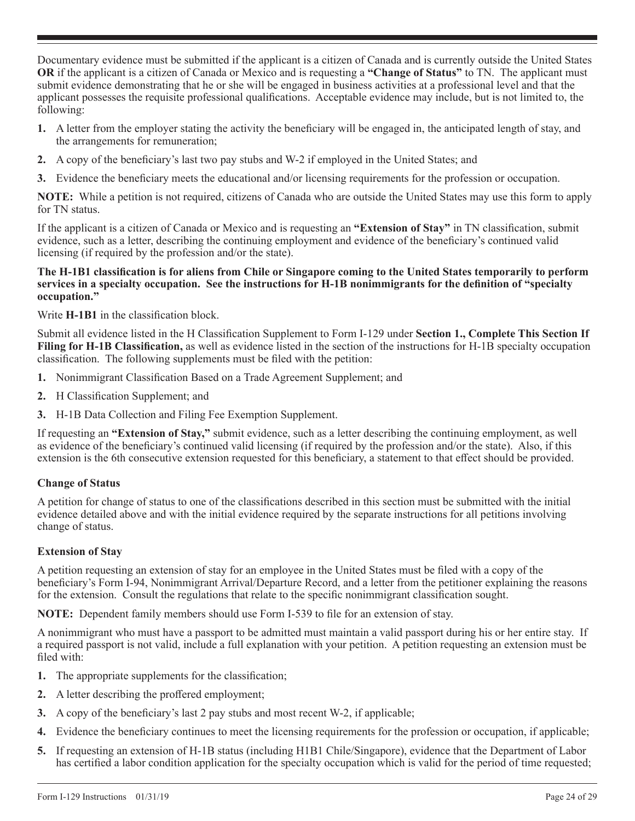Documentary evidence must be submitted if the applicant is a citizen of Canada and is currently outside the United States **OR** if the applicant is a citizen of Canada or Mexico and is requesting a **"Change of Status"** to TN. The applicant must submit evidence demonstrating that he or she will be engaged in business activities at a professional level and that the applicant possesses the requisite professional qualifications. Acceptable evidence may include, but is not limited to, the following:

- **1.** A letter from the employer stating the activity the beneficiary will be engaged in, the anticipated length of stay, and the arrangements for remuneration;
- **2.** A copy of the beneficiary's last two pay stubs and W-2 if employed in the United States; and
- **3.** Evidence the beneficiary meets the educational and/or licensing requirements for the profession or occupation.

**NOTE:** While a petition is not required, citizens of Canada who are outside the United States may use this form to apply for TN status.

If the applicant is a citizen of Canada or Mexico and is requesting an **"Extension of Stay"** in TN classification, submit evidence, such as a letter, describing the continuing employment and evidence of the beneficiary's continued valid licensing (if required by the profession and/or the state).

#### **The H-1B1 classification is for aliens from Chile or Singapore coming to the United States temporarily to perform services in a specialty occupation. See the instructions for H-1B nonimmigrants for the definition of "specialty occupation."**

Write **H-1B1** in the classification block.

Submit all evidence listed in the H Classification Supplement to Form I-129 under **Section 1., Complete This Section If Filing for H-1B Classification,** as well as evidence listed in the section of the instructions for H-1B specialty occupation classification. The following supplements must be filed with the petition:

- **1.** Nonimmigrant Classification Based on a Trade Agreement Supplement; and
- **2.** H Classification Supplement; and
- **3.** H-1B Data Collection and Filing Fee Exemption Supplement.

If requesting an **"Extension of Stay,"** submit evidence, such as a letter describing the continuing employment, as well as evidence of the beneficiary's continued valid licensing (if required by the profession and/or the state). Also, if this extension is the 6th consecutive extension requested for this beneficiary, a statement to that effect should be provided.

# **Change of Status**

A petition for change of status to one of the classifications described in this section must be submitted with the initial evidence detailed above and with the initial evidence required by the separate instructions for all petitions involving change of status.

# **Extension of Stay**

A petition requesting an extension of stay for an employee in the United States must be filed with a copy of the beneficiary's Form I-94, Nonimmigrant Arrival/Departure Record, and a letter from the petitioner explaining the reasons for the extension. Consult the regulations that relate to the specific nonimmigrant classification sought.

**NOTE:** Dependent family members should use Form I-539 to file for an extension of stay.

A nonimmigrant who must have a passport to be admitted must maintain a valid passport during his or her entire stay. If a required passport is not valid, include a full explanation with your petition. A petition requesting an extension must be filed with:

- **1.** The appropriate supplements for the classification;
- **2.** A letter describing the proffered employment;
- **3.** A copy of the beneficiary's last 2 pay stubs and most recent W-2, if applicable;
- **4.** Evidence the beneficiary continues to meet the licensing requirements for the profession or occupation, if applicable;
- **5.** If requesting an extension of H-1B status (including H1B1 Chile/Singapore), evidence that the Department of Labor has certified a labor condition application for the specialty occupation which is valid for the period of time requested;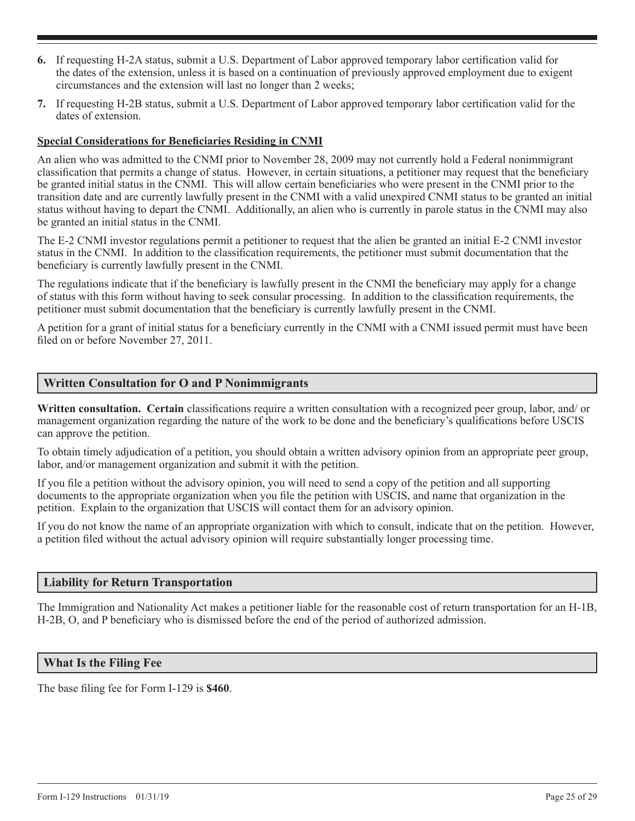- **6.** If requesting H-2A status, submit a U.S. Department of Labor approved temporary labor certification valid for the dates of the extension, unless it is based on a continuation of previously approved employment due to exigent circumstances and the extension will last no longer than 2 weeks;
- **7.** If requesting H-2B status, submit a U.S. Department of Labor approved temporary labor certification valid for the dates of extension.

## **Special Considerations for Beneficiaries Residing in CNMI**

An alien who was admitted to the CNMI prior to November 28, 2009 may not currently hold a Federal nonimmigrant classification that permits a change of status. However, in certain situations, a petitioner may request that the beneficiary be granted initial status in the CNMI. This will allow certain beneficiaries who were present in the CNMI prior to the transition date and are currently lawfully present in the CNMI with a valid unexpired CNMI status to be granted an initial status without having to depart the CNMI. Additionally, an alien who is currently in parole status in the CNMI may also be granted an initial status in the CNMI.

The E-2 CNMI investor regulations permit a petitioner to request that the alien be granted an initial E-2 CNMI investor status in the CNMI. In addition to the classification requirements, the petitioner must submit documentation that the beneficiary is currently lawfully present in the CNMI.

The regulations indicate that if the beneficiary is lawfully present in the CNMI the beneficiary may apply for a change of status with this form without having to seek consular processing. In addition to the classification requirements, the petitioner must submit documentation that the beneficiary is currently lawfully present in the CNMI.

A petition for a grant of initial status for a beneficiary currently in the CNMI with a CNMI issued permit must have been filed on or before November 27, 2011.

## **Written Consultation for O and P Nonimmigrants**

**Written consultation. Certain** classifications require a written consultation with a recognized peer group, labor, and/ or management organization regarding the nature of the work to be done and the beneficiary's qualifications before USCIS can approve the petition.

To obtain timely adjudication of a petition, you should obtain a written advisory opinion from an appropriate peer group, labor, and/or management organization and submit it with the petition.

If you file a petition without the advisory opinion, you will need to send a copy of the petition and all supporting documents to the appropriate organization when you file the petition with USCIS, and name that organization in the petition. Explain to the organization that USCIS will contact them for an advisory opinion.

If you do not know the name of an appropriate organization with which to consult, indicate that on the petition. However, a petition filed without the actual advisory opinion will require substantially longer processing time.

## **Liability for Return Transportation**

The Immigration and Nationality Act makes a petitioner liable for the reasonable cost of return transportation for an H-1B, H-2B, O, and P beneficiary who is dismissed before the end of the period of authorized admission.

## **What Is the Filing Fee**

The base filing fee for Form I-129 is **\$460**.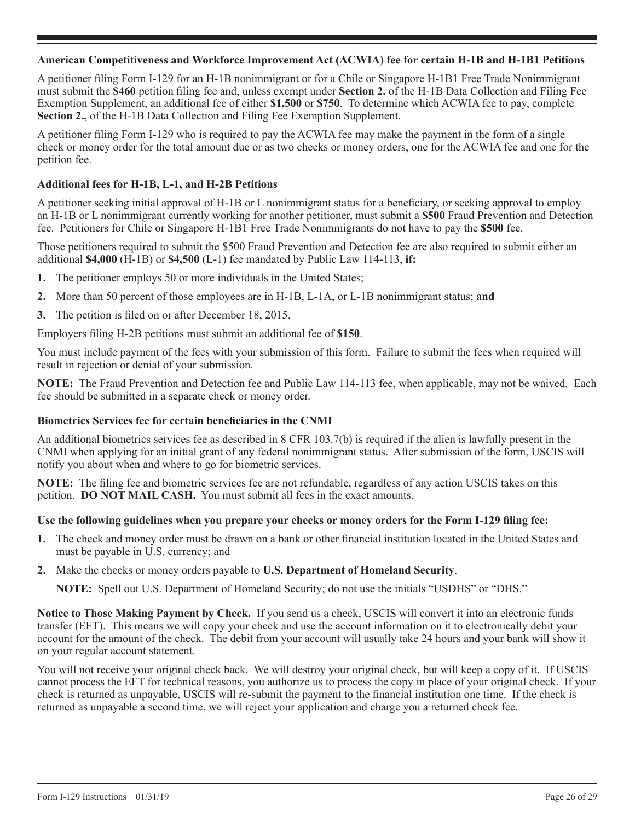## **American Competitiveness and Workforce Improvement Act (ACWIA) fee for certain H-1B and H-1B1 Petitions**

A petitioner filing Form I-129 for an H-1B nonimmigrant or for a Chile or Singapore H-1B1 Free Trade Nonimmigrant must submit the **\$460** petition filing fee and, unless exempt under **Section 2.** of the H-1B Data Collection and Filing Fee Exemption Supplement, an additional fee of either **\$1,500** or **\$750**. To determine which ACWIA fee to pay, complete **Section 2.,** of the H-1B Data Collection and Filing Fee Exemption Supplement.

A petitioner filing Form I-129 who is required to pay the ACWIA fee may make the payment in the form of a single check or money order for the total amount due or as two checks or money orders, one for the ACWIA fee and one for the petition fee.

## **Additional fees for H-1B, L-1, and H-2B Petitions**

A petitioner seeking initial approval of H-1B or L nonimmigrant status for a beneficiary, or seeking approval to employ an H-1B or L nonimmigrant currently working for another petitioner, must submit a **\$500** Fraud Prevention and Detection fee. Petitioners for Chile or Singapore H-1B1 Free Trade Nonimmigrants do not have to pay the **\$500** fee.

Those petitioners required to submit the \$500 Fraud Prevention and Detection fee are also required to submit either an additional **\$4,000** (H-1B) or **\$4,500** (L-1) fee mandated by Public Law 114-113, **if:**

- **1.** The petitioner employs 50 or more individuals in the United States;
- **2.** More than 50 percent of those employees are in H-1B, L-1A, or L-1B nonimmigrant status; **and**
- **3.** The petition is filed on or after December 18, 2015.

Employers filing H-2B petitions must submit an additional fee of **\$150**.

You must include payment of the fees with your submission of this form. Failure to submit the fees when required will result in rejection or denial of your submission.

**NOTE:** The Fraud Prevention and Detection fee and Public Law 114-113 fee, when applicable, may not be waived. Each fee should be submitted in a separate check or money order.

## **Biometrics Services fee for certain beneficiaries in the CNMI**

An additional biometrics services fee as described in 8 CFR 103.7(b) is required if the alien is lawfully present in the CNMI when applying for an initial grant of any federal nonimmigrant status. After submission of the form, USCIS will notify you about when and where to go for biometric services.

**NOTE:** The filing fee and biometric services fee are not refundable, regardless of any action USCIS takes on this petition. **DO NOT MAIL CASH.** You must submit all fees in the exact amounts.

#### **Use the following guidelines when you prepare your checks or money orders for the Form I-129 filing fee:**

- **1.** The check and money order must be drawn on a bank or other financial institution located in the United States and must be payable in U.S. currency; and
- **2.** Make the checks or money orders payable to **U.S. Department of Homeland Security**.

**NOTE:** Spell out U.S. Department of Homeland Security; do not use the initials "USDHS" or "DHS."

**Notice to Those Making Payment by Check.** If you send us a check, USCIS will convert it into an electronic funds transfer (EFT). This means we will copy your check and use the account information on it to electronically debit your account for the amount of the check. The debit from your account will usually take 24 hours and your bank will show it on your regular account statement.

You will not receive your original check back. We will destroy your original check, but will keep a copy of it. If USCIS cannot process the EFT for technical reasons, you authorize us to process the copy in place of your original check. If your check is returned as unpayable, USCIS will re-submit the payment to the financial institution one time. If the check is returned as unpayable a second time, we will reject your application and charge you a returned check fee.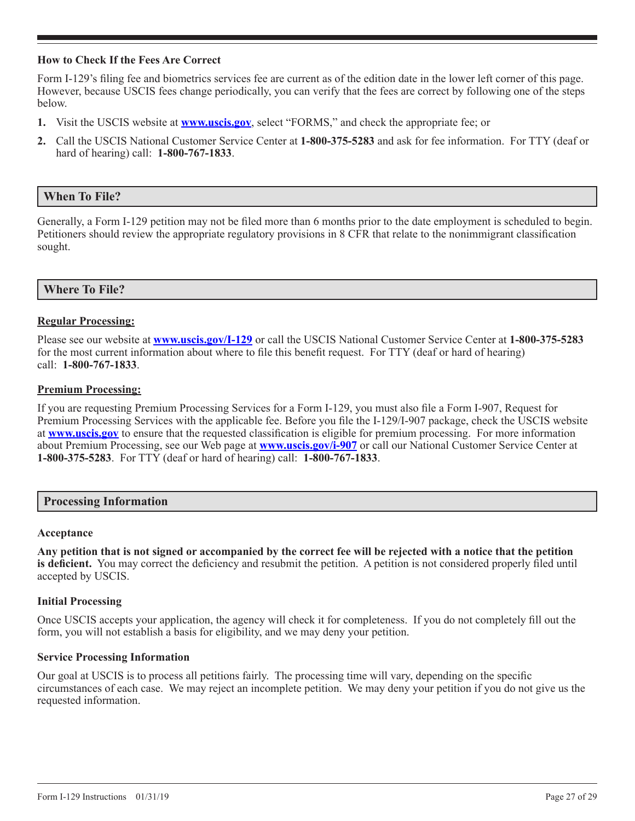## **How to Check If the Fees Are Correct**

Form I-129's filing fee and biometrics services fee are current as of the edition date in the lower left corner of this page. However, because USCIS fees change periodically, you can verify that the fees are correct by following one of the steps below.

- **1.** Visit the USCIS website at **www.uscis.gov**, select "FORMS," and check the appropriate fee; or
- **2.** Call the USCIS National Customer Service Center at **1-800-375-5283** and ask for fee information. For TTY (deaf or hard of hearing) call: **1-800-767-1833**.

## **When To File?**

Generally, a Form I-129 petition may not be filed more than 6 months prior to the date employment is scheduled to begin. Petitioners should review the appropriate regulatory provisions in 8 CFR that relate to the nonimmigrant classification sought.

## **Where To File?**

#### **Regular Processing:**

Please see our website at **www.uscis.gov/I-129** or call the USCIS National Customer Service Center at **1-800-375-5283** for the most current information about where to file this benefit request. For TTY (deaf or hard of hearing) call: **1-800-767-1833**.

#### **Premium Processing:**

If you are requesting Premium Processing Services for a Form I-129, you must also file a Form I-907, Request for Premium Processing Services with the applicable fee. Before you file the I-129/I-907 package, check the USCIS website at **www.uscis.gov** to ensure that the requested classification is eligible for premium processing. For more information about Premium Processing, see our Web page at **www.uscis.gov/i-907** or call our National Customer Service Center at **1-800-375-5283**. For TTY (deaf or hard of hearing) call: **1-800-767-1833**.

#### **Processing Information**

#### **Acceptance**

**Any petition that is not signed or accompanied by the correct fee will be rejected with a notice that the petition is deficient.** You may correct the deficiency and resubmit the petition. A petition is not considered properly filed until accepted by USCIS.

#### **Initial Processing**

Once USCIS accepts your application, the agency will check it for completeness. If you do not completely fill out the form, you will not establish a basis for eligibility, and we may deny your petition.

#### **Service Processing Information**

Our goal at USCIS is to process all petitions fairly. The processing time will vary, depending on the specific circumstances of each case. We may reject an incomplete petition. We may deny your petition if you do not give us the requested information.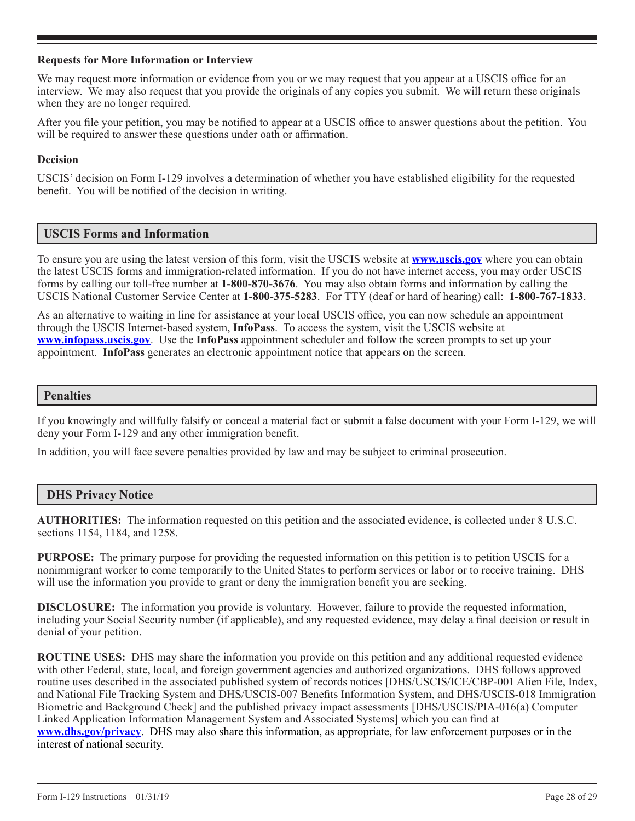## **Requests for More Information or Interview**

We may request more information or evidence from you or we may request that you appear at a USCIS office for an interview. We may also request that you provide the originals of any copies you submit. We will return these originals when they are no longer required.

After you file your petition, you may be notified to appear at a USCIS office to answer questions about the petition. You will be required to answer these questions under oath or affirmation.

## **Decision**

USCIS' decision on Form I-129 involves a determination of whether you have established eligibility for the requested benefit. You will be notified of the decision in writing.

# **USCIS Forms and Information**

To ensure you are using the latest version of this form, visit the USCIS website at **www.uscis.gov** where you can obtain the latest USCIS forms and immigration-related information. If you do not have internet access, you may order USCIS forms by calling our toll-free number at **1-800-870-3676**. You may also obtain forms and information by calling the USCIS National Customer Service Center at **1-800-375-5283**. For TTY (deaf or hard of hearing) call: **1-800-767-1833**.

As an alternative to waiting in line for assistance at your local USCIS office, you can now schedule an appointment through the USCIS Internet-based system, **InfoPass**. To access the system, visit the USCIS website at **www.infopass.uscis.gov**. Use the **InfoPass** appointment scheduler and follow the screen prompts to set up your appointment. **InfoPass** generates an electronic appointment notice that appears on the screen.

## **Penalties**

If you knowingly and willfully falsify or conceal a material fact or submit a false document with your Form I-129, we will deny your Form I-129 and any other immigration benefit.

In addition, you will face severe penalties provided by law and may be subject to criminal prosecution.

## **DHS Privacy Notice**

**AUTHORITIES:** The information requested on this petition and the associated evidence, is collected under 8 U.S.C. sections 1154, 1184, and 1258.

**PURPOSE:** The primary purpose for providing the requested information on this petition is to petition USCIS for a nonimmigrant worker to come temporarily to the United States to perform services or labor or to receive training. DHS will use the information you provide to grant or deny the immigration benefit you are seeking.

**DISCLOSURE:** The information you provide is voluntary. However, failure to provide the requested information, including your Social Security number (if applicable), and any requested evidence, may delay a final decision or result in denial of your petition.

**ROUTINE USES:** DHS may share the information you provide on this petition and any additional requested evidence with other Federal, state, local, and foreign government agencies and authorized organizations. DHS follows approved routine uses described in the associated published system of records notices [DHS/USCIS/ICE/CBP-001 Alien File, Index, and National File Tracking System and DHS/USCIS-007 Benefits Information System, and DHS/USCIS-018 Immigration Biometric and Background Check] and the published privacy impact assessments [DHS/USCIS/PIA-016(a) Computer Linked Application Information Management System and Associated Systems] which you can find at **www.dhs.gov/privacy**. DHS may also share this information, as appropriate, for law enforcement purposes or in the interest of national security.